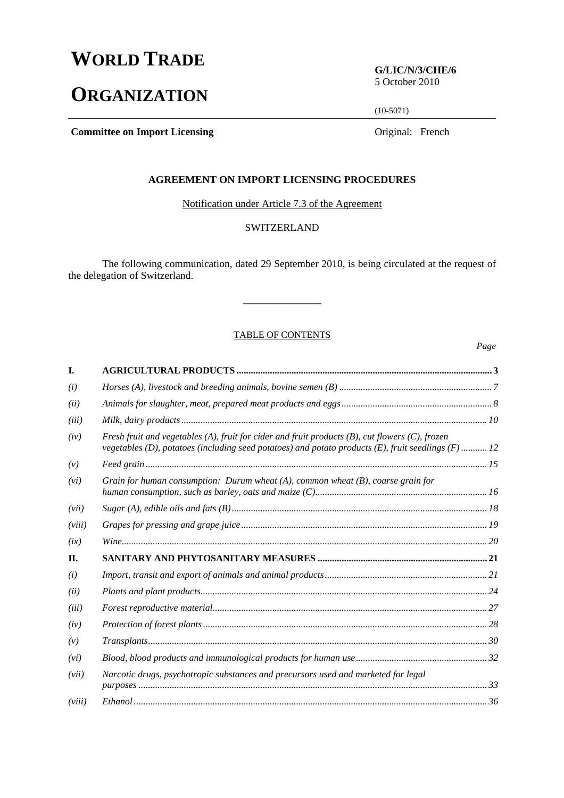# **WORLD TRADE**

# **ORGANIZATION**

**G/LIC/N/3/CHE/6**  5 October 2010

(10-5071)

**Committee on Import Licensing <b>Committee on Import Licensing Committee on Import Licensing** 

# **AGREEMENT ON IMPORT LICENSING PROCEDURES**

Notification under Article 7.3 of the Agreement

# **SWITZERLAND**

 The following communication, dated 29 September 2010, is being circulated at the request of the delegation of Switzerland.

**\_\_\_\_\_\_\_\_\_\_\_\_\_\_\_** 

#### TABLE OF CONTENTS

*Page*

| I.     |                                                                                                                                                                                                             |  |
|--------|-------------------------------------------------------------------------------------------------------------------------------------------------------------------------------------------------------------|--|
| (i)    |                                                                                                                                                                                                             |  |
| (ii)   |                                                                                                                                                                                                             |  |
| (iii)  |                                                                                                                                                                                                             |  |
| (iv)   | Fresh fruit and vegetables (A), fruit for cider and fruit products $(B)$ , cut flowers $(C)$ , frozen<br>vegetables (D), potatoes (including seed potatoes) and potato products (E), fruit seedlings (F) 12 |  |
| (v)    |                                                                                                                                                                                                             |  |
| (vi)   | Grain for human consumption: Durum wheat $(A)$ , common wheat $(B)$ , coarse grain for                                                                                                                      |  |
| (vii)  |                                                                                                                                                                                                             |  |
| (viii) |                                                                                                                                                                                                             |  |
| (ix)   |                                                                                                                                                                                                             |  |
| П.     |                                                                                                                                                                                                             |  |
| (i)    |                                                                                                                                                                                                             |  |
| (ii)   |                                                                                                                                                                                                             |  |
| (iii)  |                                                                                                                                                                                                             |  |
| (iv)   |                                                                                                                                                                                                             |  |
| (v)    |                                                                                                                                                                                                             |  |
| (vi)   |                                                                                                                                                                                                             |  |
| (vii)  | Narcotic drugs, psychotropic substances and precursors used and marketed for legal                                                                                                                          |  |
| (viii) |                                                                                                                                                                                                             |  |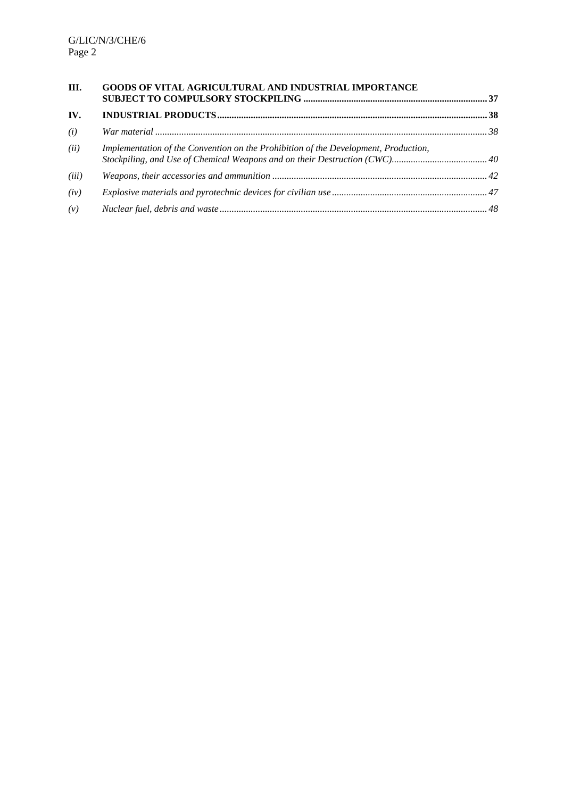| Ш.    | GOODS OF VITAL AGRICULTURAL AND INDUSTRIAL IMPORTANCE                               |  |
|-------|-------------------------------------------------------------------------------------|--|
| IV.   |                                                                                     |  |
| (i)   |                                                                                     |  |
| (ii)  | Implementation of the Convention on the Prohibition of the Development, Production, |  |
| (iii) |                                                                                     |  |
| (iv)  |                                                                                     |  |
| (v)   |                                                                                     |  |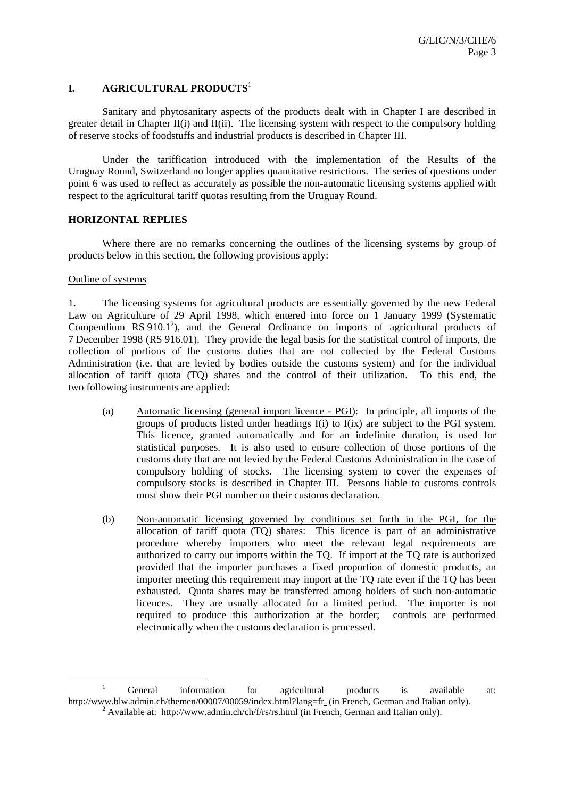## **I. AGRICULTURAL PRODUCTS**<sup>1</sup>

 Sanitary and phytosanitary aspects of the products dealt with in Chapter I are described in greater detail in Chapter II(i) and II(ii). The licensing system with respect to the compulsory holding of reserve stocks of foodstuffs and industrial products is described in Chapter III.

 Under the tariffication introduced with the implementation of the Results of the Uruguay Round, Switzerland no longer applies quantitative restrictions. The series of questions under point 6 was used to reflect as accurately as possible the non-automatic licensing systems applied with respect to the agricultural tariff quotas resulting from the Uruguay Round.

#### **HORIZONTAL REPLIES**

Where there are no remarks concerning the outlines of the licensing systems by group of products below in this section, the following provisions apply:

#### Outline of systems

1. The licensing systems for agricultural products are essentially governed by the new Federal Law on Agriculture of 29 April 1998, which entered into force on 1 January 1999 (Systematic Compendium RS  $910.1^2$ ), and the General Ordinance on imports of agricultural products of 7 December 1998 (RS 916.01). They provide the legal basis for the statistical control of imports, the collection of portions of the customs duties that are not collected by the Federal Customs Administration (i.e. that are levied by bodies outside the customs system) and for the individual allocation of tariff quota (TQ) shares and the control of their utilization. To this end, the two following instruments are applied:

- (a) Automatic licensing (general import licence PGI): In principle, all imports of the groups of products listed under headings I(i) to I(ix) are subject to the PGI system. This licence, granted automatically and for an indefinite duration, is used for statistical purposes. It is also used to ensure collection of those portions of the customs duty that are not levied by the Federal Customs Administration in the case of compulsory holding of stocks. The licensing system to cover the expenses of compulsory stocks is described in Chapter III. Persons liable to customs controls must show their PGI number on their customs declaration.
- (b) Non-automatic licensing governed by conditions set forth in the PGI, for the allocation of tariff quota (TQ) shares: This licence is part of an administrative procedure whereby importers who meet the relevant legal requirements are authorized to carry out imports within the TQ. If import at the TQ rate is authorized provided that the importer purchases a fixed proportion of domestic products, an importer meeting this requirement may import at the TQ rate even if the TQ has been exhausted. Quota shares may be transferred among holders of such non-automatic licences. They are usually allocated for a limited period. The importer is not required to produce this authorization at the border; controls are performed electronically when the customs declaration is processed.

<sup>&</sup>lt;u>1</u> <sup>1</sup> General information for agricultural products is available at: http://www.blw.admin.ch/themen/00007/00059/index.html?lang=fr (in French, German and Italian only). <sup>2</sup> Available at: http://www.admin.ch/ch/f/rs/rs.html (in French, German and Italian only).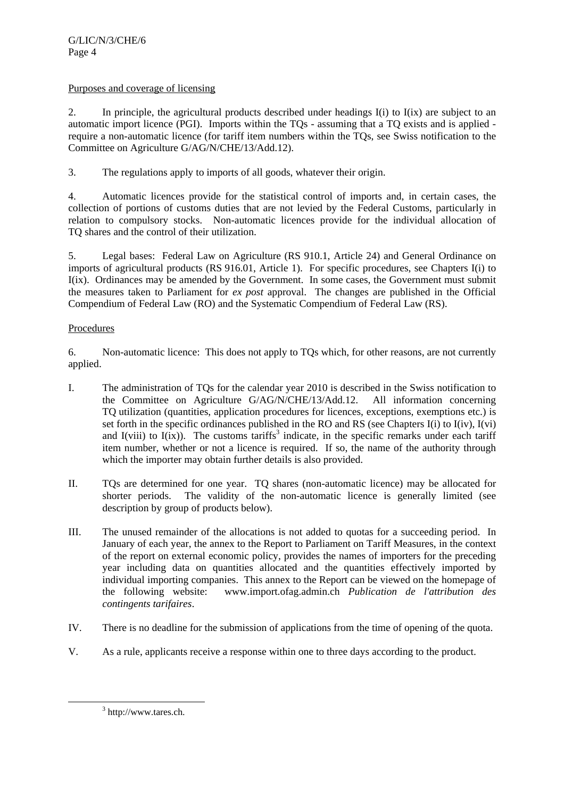## Purposes and coverage of licensing

2. In principle, the agricultural products described under headings I(i) to I(ix) are subject to an automatic import licence (PGI). Imports within the TQs - assuming that a TQ exists and is applied require a non-automatic licence (for tariff item numbers within the TQs, see Swiss notification to the Committee on Agriculture G/AG/N/CHE/13/Add.12).

3. The regulations apply to imports of all goods, whatever their origin.

4. Automatic licences provide for the statistical control of imports and, in certain cases, the collection of portions of customs duties that are not levied by the Federal Customs, particularly in relation to compulsory stocks. Non-automatic licences provide for the individual allocation of TQ shares and the control of their utilization.

5. Legal bases: Federal Law on Agriculture (RS 910.1, Article 24) and General Ordinance on imports of agricultural products (RS 916.01, Article 1). For specific procedures, see Chapters I(i) to I(ix). Ordinances may be amended by the Government. In some cases, the Government must submit the measures taken to Parliament for *ex post* approval. The changes are published in the Official Compendium of Federal Law (RO) and the Systematic Compendium of Federal Law (RS).

# Procedures

6. Non-automatic licence: This does not apply to TQs which, for other reasons, are not currently applied.

- I. The administration of TQs for the calendar year 2010 is described in the Swiss notification to the Committee on Agriculture G/AG/N/CHE/13/Add.12. All information concerning TQ utilization (quantities, application procedures for licences, exceptions, exemptions etc.) is set forth in the specific ordinances published in the RO and RS (see Chapters I(i) to I(iv), I(vi) and I(viii) to I(ix)). The customs tariffs<sup>3</sup> indicate, in the specific remarks under each tariff item number, whether or not a licence is required. If so, the name of the authority through which the importer may obtain further details is also provided.
- II. TQs are determined for one year. TQ shares (non-automatic licence) may be allocated for shorter periods. The validity of the non-automatic licence is generally limited (see description by group of products below).
- III. The unused remainder of the allocations is not added to quotas for a succeeding period. In January of each year, the annex to the Report to Parliament on Tariff Measures, in the context of the report on external economic policy, provides the names of importers for the preceding year including data on quantities allocated and the quantities effectively imported by individual importing companies. This annex to the Report can be viewed on the homepage of the following website: www.import.ofag.admin.ch *Publication de l'attribution des contingents tarifaires*.
- IV. There is no deadline for the submission of applications from the time of opening of the quota.
- V. As a rule, applicants receive a response within one to three days according to the product.

 <sup>3</sup>  $3$  http://www.tares.ch.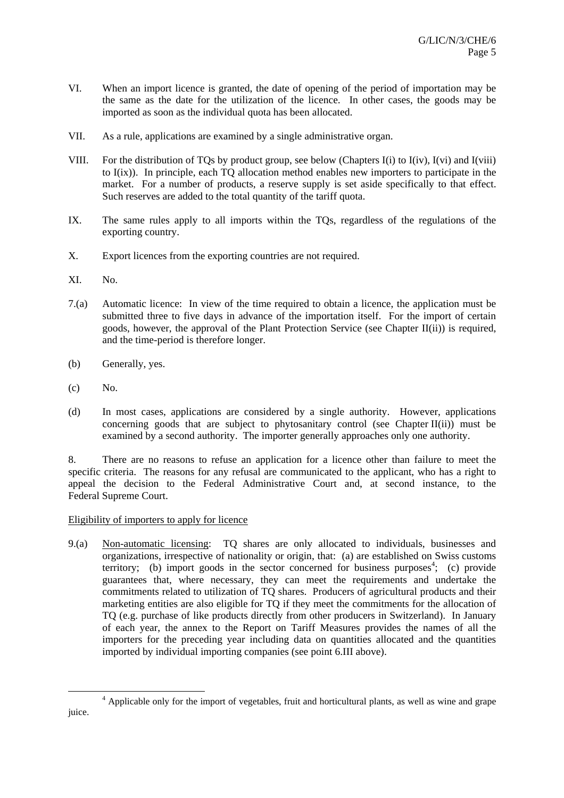- VI. When an import licence is granted, the date of opening of the period of importation may be the same as the date for the utilization of the licence. In other cases, the goods may be imported as soon as the individual quota has been allocated.
- VII. As a rule, applications are examined by a single administrative organ.
- VIII. For the distribution of TQs by product group, see below (Chapters I(i) to I(iv), I(vi) and I(viii) to I(ix)). In principle, each TQ allocation method enables new importers to participate in the market. For a number of products, a reserve supply is set aside specifically to that effect. Such reserves are added to the total quantity of the tariff quota.
- IX. The same rules apply to all imports within the TQs, regardless of the regulations of the exporting country.
- X. Export licences from the exporting countries are not required.
- XI. No.
- 7.(a) Automatic licence: In view of the time required to obtain a licence, the application must be submitted three to five days in advance of the importation itself. For the import of certain goods, however, the approval of the Plant Protection Service (see Chapter II(ii)) is required, and the time-period is therefore longer.
- (b) Generally, yes.
- (c) No.
- (d) In most cases, applications are considered by a single authority. However, applications concerning goods that are subject to phytosanitary control (see Chapter II(ii)) must be examined by a second authority. The importer generally approaches only one authority.

8. There are no reasons to refuse an application for a licence other than failure to meet the specific criteria. The reasons for any refusal are communicated to the applicant, who has a right to appeal the decision to the Federal Administrative Court and, at second instance, to the Federal Supreme Court.

## Eligibility of importers to apply for licence

9.(a) Non-automatic licensing: TQ shares are only allocated to individuals, businesses and organizations, irrespective of nationality or origin, that: (a) are established on Swiss customs territory; (b) import goods in the sector concerned for business purposes<sup>4</sup>; (c) provide guarantees that, where necessary, they can meet the requirements and undertake the commitments related to utilization of TQ shares. Producers of agricultural products and their marketing entities are also eligible for TQ if they meet the commitments for the allocation of TQ (e.g. purchase of like products directly from other producers in Switzerland). In January of each year, the annex to the Report on Tariff Measures provides the names of all the importers for the preceding year including data on quantities allocated and the quantities imported by individual importing companies (see point 6.III above).

 $\overline{a}$ <sup>4</sup> Applicable only for the import of vegetables, fruit and horticultural plants, as well as wine and grape juice.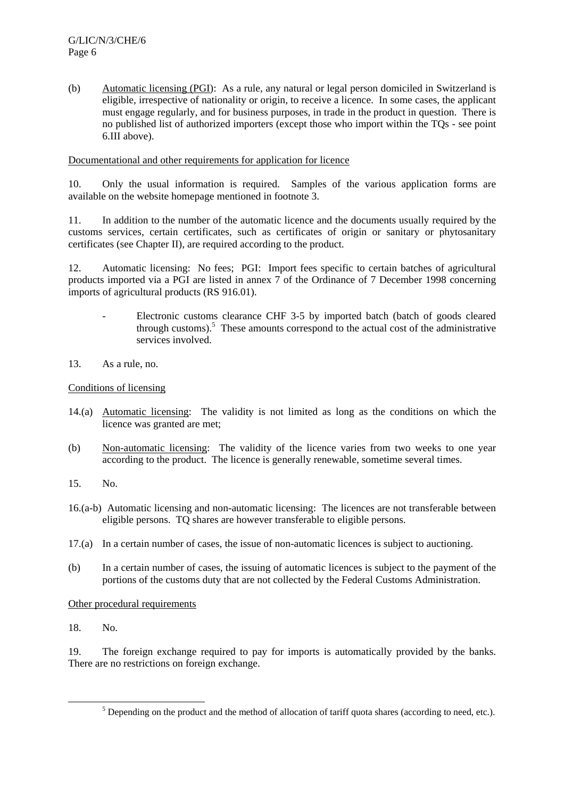(b) Automatic licensing (PGI): As a rule, any natural or legal person domiciled in Switzerland is eligible, irrespective of nationality or origin, to receive a licence. In some cases, the applicant must engage regularly, and for business purposes, in trade in the product in question. There is no published list of authorized importers (except those who import within the TQs - see point 6.III above).

Documentational and other requirements for application for licence

10. Only the usual information is required. Samples of the various application forms are available on the website homepage mentioned in footnote 3.

11. In addition to the number of the automatic licence and the documents usually required by the customs services, certain certificates, such as certificates of origin or sanitary or phytosanitary certificates (see Chapter II), are required according to the product.

12. Automatic licensing: No fees; PGI: Import fees specific to certain batches of agricultural products imported via a PGI are listed in annex 7 of the Ordinance of 7 December 1998 concerning imports of agricultural products (RS 916.01).

- Electronic customs clearance CHF 3-5 by imported batch (batch of goods cleared through customs).<sup>5</sup> These amounts correspond to the actual cost of the administrative services involved.
- 13. As a rule, no.

# Conditions of licensing

- 14.(a) Automatic licensing: The validity is not limited as long as the conditions on which the licence was granted are met;
- (b) Non-automatic licensing: The validity of the licence varies from two weeks to one year according to the product. The licence is generally renewable, sometime several times.
- 15. No.
- 16.(a-b) Automatic licensing and non-automatic licensing: The licences are not transferable between eligible persons. TQ shares are however transferable to eligible persons.
- 17.(a) In a certain number of cases, the issue of non-automatic licences is subject to auctioning.
- (b) In a certain number of cases, the issuing of automatic licences is subject to the payment of the portions of the customs duty that are not collected by the Federal Customs Administration.

Other procedural requirements

18. No.

19. The foreign exchange required to pay for imports is automatically provided by the banks. There are no restrictions on foreign exchange.

 $\frac{1}{5}$  $<sup>5</sup>$  Depending on the product and the method of allocation of tariff quota shares (according to need, etc.).</sup>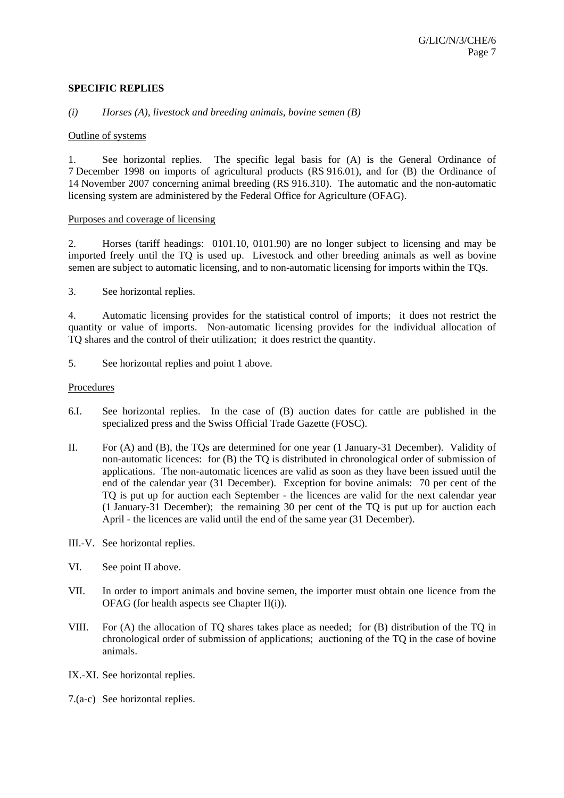#### **SPECIFIC REPLIES**

#### *(i) Horses (A), livestock and breeding animals, bovine semen (B)*

#### Outline of systems

1. See horizontal replies. The specific legal basis for (A) is the General Ordinance of 7 December 1998 on imports of agricultural products (RS 916.01), and for (B) the Ordinance of 14 November 2007 concerning animal breeding (RS 916.310). The automatic and the non-automatic licensing system are administered by the Federal Office for Agriculture (OFAG).

#### Purposes and coverage of licensing

2. Horses (tariff headings: 0101.10, 0101.90) are no longer subject to licensing and may be imported freely until the TQ is used up. Livestock and other breeding animals as well as bovine semen are subject to automatic licensing, and to non-automatic licensing for imports within the TQs.

3. See horizontal replies.

4. Automatic licensing provides for the statistical control of imports; it does not restrict the quantity or value of imports. Non-automatic licensing provides for the individual allocation of TQ shares and the control of their utilization; it does restrict the quantity.

5. See horizontal replies and point 1 above.

#### Procedures

- 6.I. See horizontal replies. In the case of (B) auction dates for cattle are published in the specialized press and the Swiss Official Trade Gazette (FOSC).
- II. For (A) and (B), the TQs are determined for one year (1 January-31 December). Validity of non-automatic licences: for (B) the TQ is distributed in chronological order of submission of applications. The non-automatic licences are valid as soon as they have been issued until the end of the calendar year (31 December). Exception for bovine animals: 70 per cent of the TQ is put up for auction each September - the licences are valid for the next calendar year (1 January-31 December); the remaining 30 per cent of the TQ is put up for auction each April - the licences are valid until the end of the same year (31 December).
- III.-V. See horizontal replies.
- VI. See point II above.
- VII. In order to import animals and bovine semen, the importer must obtain one licence from the OFAG (for health aspects see Chapter II(i)).
- VIII. For (A) the allocation of TQ shares takes place as needed; for (B) distribution of the TQ in chronological order of submission of applications; auctioning of the TQ in the case of bovine animals.
- IX.-XI. See horizontal replies.
- 7.(a-c) See horizontal replies.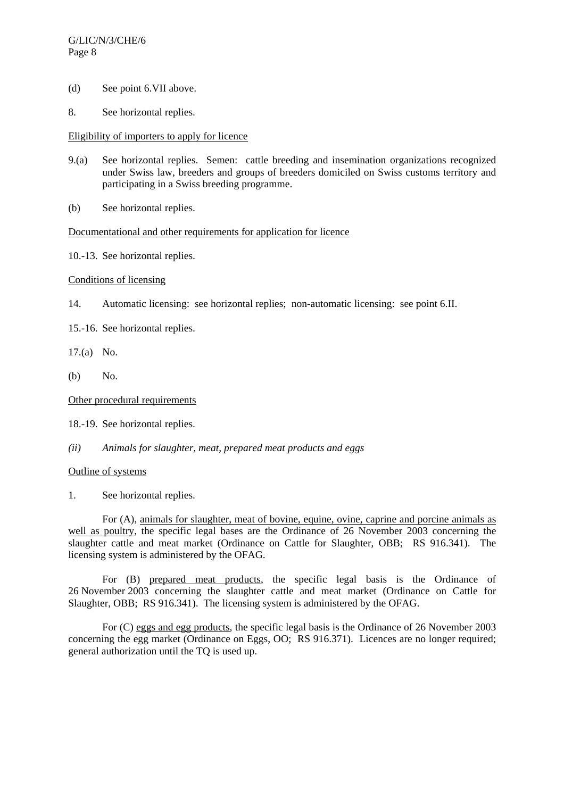- (d) See point 6.VII above.
- 8. See horizontal replies.

## Eligibility of importers to apply for licence

- 9.(a) See horizontal replies. Semen: cattle breeding and insemination organizations recognized under Swiss law, breeders and groups of breeders domiciled on Swiss customs territory and participating in a Swiss breeding programme.
- (b) See horizontal replies.

## Documentational and other requirements for application for licence

10.-13. See horizontal replies.

# Conditions of licensing

- 14. Automatic licensing: see horizontal replies; non-automatic licensing: see point 6.II.
- 15.-16. See horizontal replies.
- 17.(a) No.
- (b) No.

Other procedural requirements

18.-19. See horizontal replies.

*(ii) Animals for slaughter, meat, prepared meat products and eggs* 

## Outline of systems

1. See horizontal replies.

 For (A), animals for slaughter, meat of bovine, equine, ovine, caprine and porcine animals as well as poultry, the specific legal bases are the Ordinance of 26 November 2003 concerning the slaughter cattle and meat market (Ordinance on Cattle for Slaughter, OBB; RS 916.341). The licensing system is administered by the OFAG.

For (B) prepared meat products, the specific legal basis is the Ordinance of 26 November 2003 concerning the slaughter cattle and meat market (Ordinance on Cattle for Slaughter, OBB; RS 916.341). The licensing system is administered by the OFAG.

 For (C) eggs and egg products, the specific legal basis is the Ordinance of 26 November 2003 concerning the egg market (Ordinance on Eggs, OO; RS 916.371). Licences are no longer required; general authorization until the TQ is used up.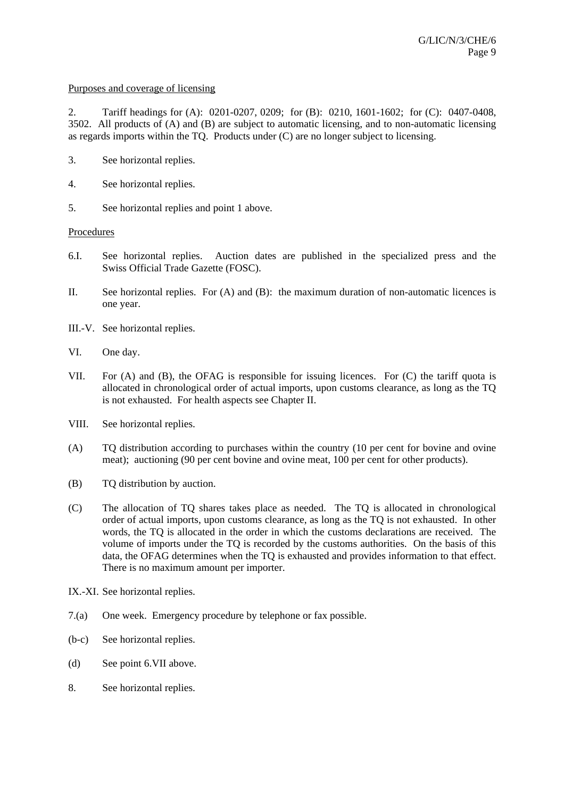#### Purposes and coverage of licensing

2. Tariff headings for (A): 0201-0207, 0209; for (B): 0210, 1601-1602; for (C): 0407-0408, 3502. All products of (A) and (B) are subject to automatic licensing, and to non-automatic licensing as regards imports within the TQ. Products under (C) are no longer subject to licensing.

- 3. See horizontal replies.
- 4. See horizontal replies.
- 5. See horizontal replies and point 1 above.

## Procedures

- 6.I. See horizontal replies. Auction dates are published in the specialized press and the Swiss Official Trade Gazette (FOSC).
- II. See horizontal replies. For (A) and (B): the maximum duration of non-automatic licences is one year.
- III.-V. See horizontal replies.
- VI. One day.
- VII. For (A) and (B), the OFAG is responsible for issuing licences. For (C) the tariff quota is allocated in chronological order of actual imports, upon customs clearance, as long as the TQ is not exhausted. For health aspects see Chapter II.
- VIII. See horizontal replies.
- (A) TQ distribution according to purchases within the country (10 per cent for bovine and ovine meat); auctioning (90 per cent bovine and ovine meat, 100 per cent for other products).
- (B) TQ distribution by auction.
- (C) The allocation of TQ shares takes place as needed. The TQ is allocated in chronological order of actual imports, upon customs clearance, as long as the TQ is not exhausted. In other words, the TQ is allocated in the order in which the customs declarations are received. The volume of imports under the TQ is recorded by the customs authorities. On the basis of this data, the OFAG determines when the TQ is exhausted and provides information to that effect. There is no maximum amount per importer.
- IX.-XI. See horizontal replies.
- 7.(a) One week. Emergency procedure by telephone or fax possible.
- (b-c) See horizontal replies.
- (d) See point 6.VII above.
- 8. See horizontal replies.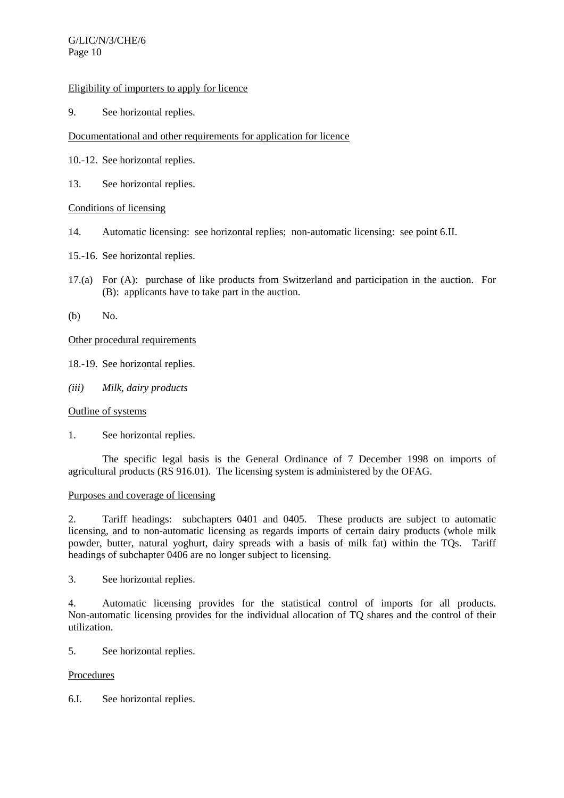## Eligibility of importers to apply for licence

9. See horizontal replies.

# Documentational and other requirements for application for licence

- 10.-12. See horizontal replies.
- 13. See horizontal replies.

# Conditions of licensing

- 14. Automatic licensing: see horizontal replies; non-automatic licensing: see point 6.II.
- 15.-16. See horizontal replies.
- 17.(a) For (A): purchase of like products from Switzerland and participation in the auction. For (B): applicants have to take part in the auction.
- (b) No.

# Other procedural requirements

18.-19. See horizontal replies.

*(iii) Milk, dairy products* 

## Outline of systems

1. See horizontal replies.

 The specific legal basis is the General Ordinance of 7 December 1998 on imports of agricultural products (RS 916.01). The licensing system is administered by the OFAG.

## Purposes and coverage of licensing

2. Tariff headings: subchapters 0401 and 0405. These products are subject to automatic licensing, and to non-automatic licensing as regards imports of certain dairy products (whole milk powder, butter, natural yoghurt, dairy spreads with a basis of milk fat) within the TQs. Tariff headings of subchapter 0406 are no longer subject to licensing.

3. See horizontal replies.

4. Automatic licensing provides for the statistical control of imports for all products. Non-automatic licensing provides for the individual allocation of TQ shares and the control of their utilization.

5. See horizontal replies.

# Procedures

6.I. See horizontal replies.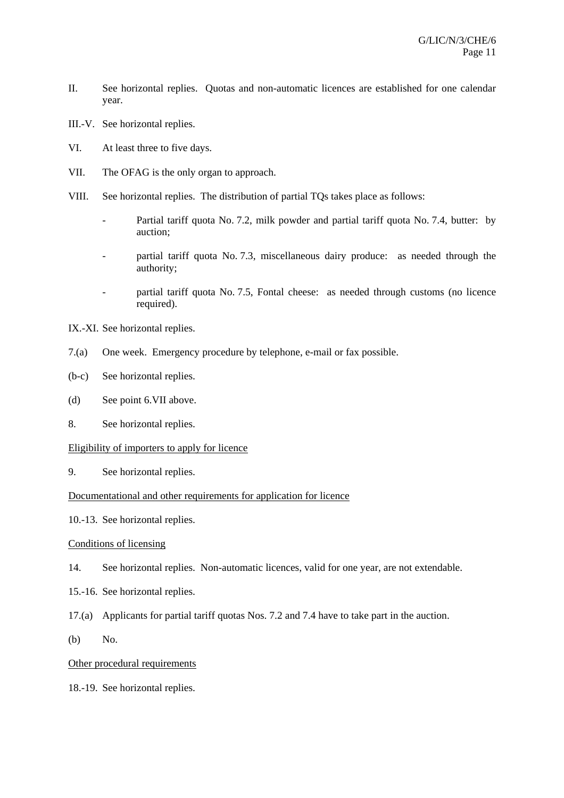- II. See horizontal replies. Quotas and non-automatic licences are established for one calendar year.
- III.-V. See horizontal replies.
- VI. At least three to five days.
- VII. The OFAG is the only organ to approach.
- VIII. See horizontal replies. The distribution of partial TQs takes place as follows:
	- Partial tariff quota No. 7.2, milk powder and partial tariff quota No. 7.4, butter: by auction;
	- partial tariff quota No. 7.3, miscellaneous dairy produce: as needed through the authority;
	- partial tariff quota No. 7.5, Fontal cheese: as needed through customs (no licence required).
- IX.-XI. See horizontal replies.
- 7.(a) One week. Emergency procedure by telephone, e-mail or fax possible.
- (b-c) See horizontal replies.
- (d) See point 6.VII above.
- 8. See horizontal replies.

## Eligibility of importers to apply for licence

9. See horizontal replies.

## Documentational and other requirements for application for licence

10.-13. See horizontal replies.

# Conditions of licensing

- 14. See horizontal replies. Non-automatic licences, valid for one year, are not extendable.
- 15.-16. See horizontal replies.
- 17.(a) Applicants for partial tariff quotas Nos. 7.2 and 7.4 have to take part in the auction.
- (b) No.

## Other procedural requirements

18.-19. See horizontal replies.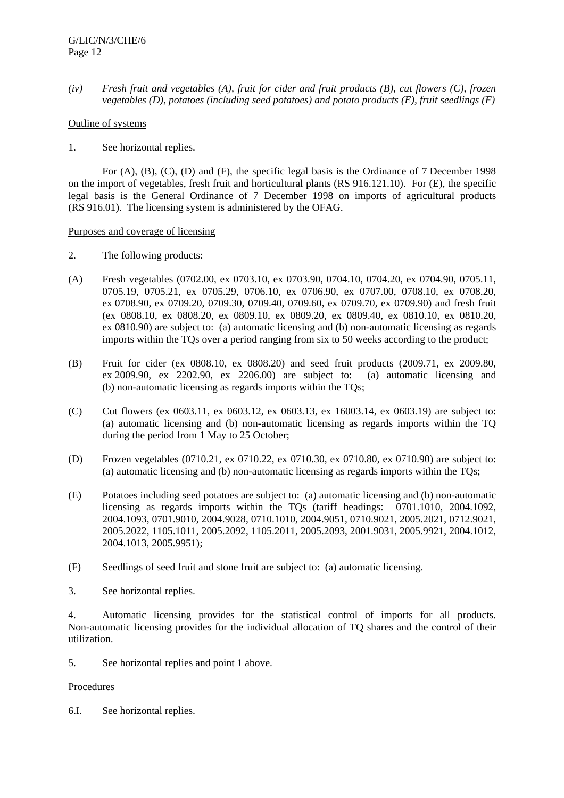*(iv) Fresh fruit and vegetables (A), fruit for cider and fruit products (B), cut flowers (C), frozen vegetables (D), potatoes (including seed potatoes) and potato products (E), fruit seedlings (F)* 

# Outline of systems

1. See horizontal replies.

 For (A), (B), (C), (D) and (F), the specific legal basis is the Ordinance of 7 December 1998 on the import of vegetables, fresh fruit and horticultural plants (RS 916.121.10). For (E), the specific legal basis is the General Ordinance of 7 December 1998 on imports of agricultural products (RS 916.01). The licensing system is administered by the OFAG.

Purposes and coverage of licensing

- 2. The following products:
- (A) Fresh vegetables (0702.00, ex 0703.10, ex 0703.90, 0704.10, 0704.20, ex 0704.90, 0705.11, 0705.19, 0705.21, ex 0705.29, 0706.10, ex 0706.90, ex 0707.00, 0708.10, ex 0708.20, ex 0708.90, ex 0709.20, 0709.30, 0709.40, 0709.60, ex 0709.70, ex 0709.90) and fresh fruit (ex 0808.10, ex 0808.20, ex 0809.10, ex 0809.20, ex 0809.40, ex 0810.10, ex 0810.20, ex 0810.90) are subject to: (a) automatic licensing and (b) non-automatic licensing as regards imports within the TQs over a period ranging from six to 50 weeks according to the product;
- (B) Fruit for cider (ex 0808.10, ex 0808.20) and seed fruit products (2009.71, ex 2009.80, ex 2009.90, ex 2202.90, ex 2206.00) are subject to: (a) automatic licensing and (b) non-automatic licensing as regards imports within the TQs;
- (C) Cut flowers (ex 0603.11, ex 0603.12, ex 0603.13, ex 16003.14, ex 0603.19) are subject to: (a) automatic licensing and (b) non-automatic licensing as regards imports within the TQ during the period from 1 May to 25 October;
- (D) Frozen vegetables (0710.21, ex 0710.22, ex 0710.30, ex 0710.80, ex 0710.90) are subject to: (a) automatic licensing and (b) non-automatic licensing as regards imports within the TQs;
- (E) Potatoes including seed potatoes are subject to: (a) automatic licensing and (b) non-automatic licensing as regards imports within the TQs (tariff headings: 0701.1010, 2004.1092, 2004.1093, 0701.9010, 2004.9028, 0710.1010, 2004.9051, 0710.9021, 2005.2021, 0712.9021, 2005.2022, 1105.1011, 2005.2092, 1105.2011, 2005.2093, 2001.9031, 2005.9921, 2004.1012, 2004.1013, 2005.9951);
- (F) Seedlings of seed fruit and stone fruit are subject to: (a) automatic licensing.
- 3. See horizontal replies.

4. Automatic licensing provides for the statistical control of imports for all products. Non-automatic licensing provides for the individual allocation of TQ shares and the control of their utilization.

5. See horizontal replies and point 1 above.

## **Procedures**

6.I. See horizontal replies.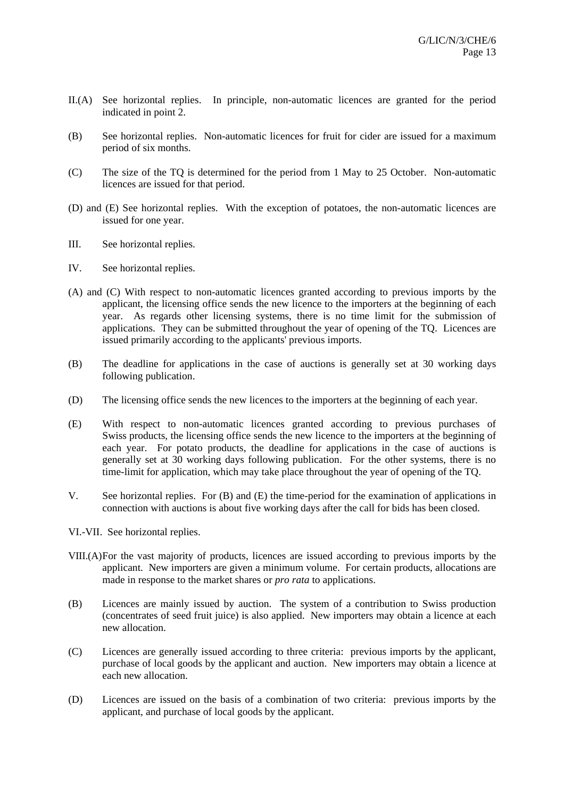- II.(A) See horizontal replies. In principle, non-automatic licences are granted for the period indicated in point 2.
- (B) See horizontal replies. Non-automatic licences for fruit for cider are issued for a maximum period of six months.
- (C) The size of the TQ is determined for the period from 1 May to 25 October. Non-automatic licences are issued for that period.
- (D) and (E) See horizontal replies. With the exception of potatoes, the non-automatic licences are issued for one year.
- III. See horizontal replies.
- IV. See horizontal replies.
- (A) and (C) With respect to non-automatic licences granted according to previous imports by the applicant, the licensing office sends the new licence to the importers at the beginning of each year. As regards other licensing systems, there is no time limit for the submission of applications. They can be submitted throughout the year of opening of the TQ. Licences are issued primarily according to the applicants' previous imports.
- (B) The deadline for applications in the case of auctions is generally set at 30 working days following publication.
- (D) The licensing office sends the new licences to the importers at the beginning of each year.
- (E) With respect to non-automatic licences granted according to previous purchases of Swiss products, the licensing office sends the new licence to the importers at the beginning of each year. For potato products, the deadline for applications in the case of auctions is generally set at 30 working days following publication. For the other systems, there is no time-limit for application, which may take place throughout the year of opening of the TQ.
- V. See horizontal replies. For (B) and (E) the time-period for the examination of applications in connection with auctions is about five working days after the call for bids has been closed.
- VI.-VII. See horizontal replies.
- VIII.(A) For the vast majority of products, licences are issued according to previous imports by the applicant. New importers are given a minimum volume. For certain products, allocations are made in response to the market shares or *pro rata* to applications.
- (B) Licences are mainly issued by auction. The system of a contribution to Swiss production (concentrates of seed fruit juice) is also applied. New importers may obtain a licence at each new allocation.
- (C) Licences are generally issued according to three criteria: previous imports by the applicant, purchase of local goods by the applicant and auction. New importers may obtain a licence at each new allocation.
- (D) Licences are issued on the basis of a combination of two criteria: previous imports by the applicant, and purchase of local goods by the applicant.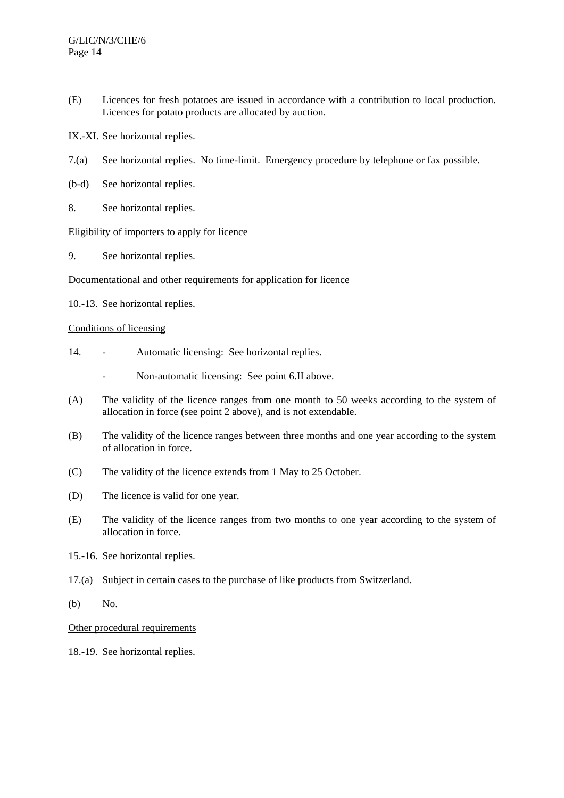- (E) Licences for fresh potatoes are issued in accordance with a contribution to local production. Licences for potato products are allocated by auction.
- IX.-XI. See horizontal replies.
- 7.(a) See horizontal replies. No time-limit. Emergency procedure by telephone or fax possible.
- (b-d) See horizontal replies.
- 8. See horizontal replies.

## Eligibility of importers to apply for licence

9. See horizontal replies.

# Documentational and other requirements for application for licence

10.-13. See horizontal replies.

## Conditions of licensing

- 14. Automatic licensing: See horizontal replies.
	- Non-automatic licensing: See point 6.II above.
- (A) The validity of the licence ranges from one month to 50 weeks according to the system of allocation in force (see point 2 above), and is not extendable.
- (B) The validity of the licence ranges between three months and one year according to the system of allocation in force.
- (C) The validity of the licence extends from 1 May to 25 October.
- (D) The licence is valid for one year.
- (E) The validity of the licence ranges from two months to one year according to the system of allocation in force.
- 15.-16. See horizontal replies.
- 17.(a) Subject in certain cases to the purchase of like products from Switzerland.
- (b) No.

# Other procedural requirements

18.-19. See horizontal replies.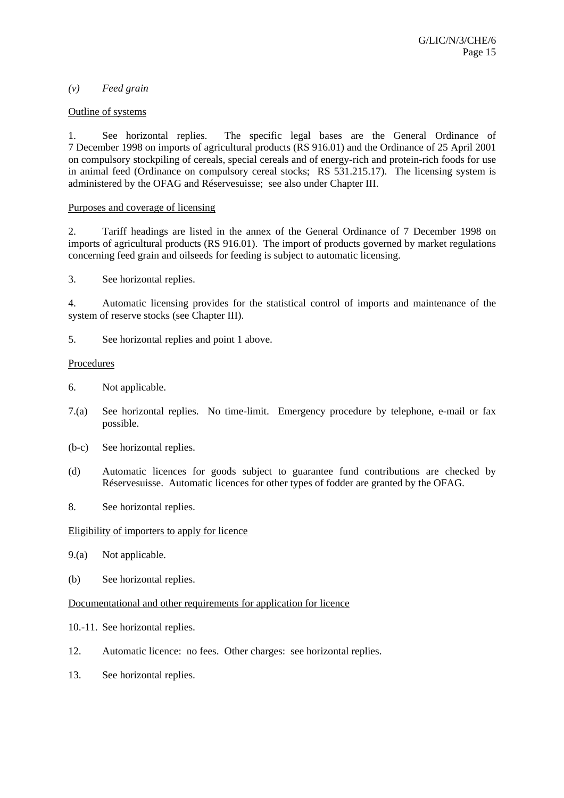## *(v) Feed grain*

## Outline of systems

1. See horizontal replies. The specific legal bases are the General Ordinance of 7 December 1998 on imports of agricultural products (RS 916.01) and the Ordinance of 25 April 2001 on compulsory stockpiling of cereals, special cereals and of energy-rich and protein-rich foods for use in animal feed (Ordinance on compulsory cereal stocks; RS 531.215.17). The licensing system is administered by the OFAG and Réservesuisse; see also under Chapter III.

## Purposes and coverage of licensing

2. Tariff headings are listed in the annex of the General Ordinance of 7 December 1998 on imports of agricultural products (RS 916.01). The import of products governed by market regulations concerning feed grain and oilseeds for feeding is subject to automatic licensing.

3. See horizontal replies.

4. Automatic licensing provides for the statistical control of imports and maintenance of the system of reserve stocks (see Chapter III).

5. See horizontal replies and point 1 above.

#### **Procedures**

- 6. Not applicable.
- 7.(a) See horizontal replies. No time-limit. Emergency procedure by telephone, e-mail or fax possible.
- (b-c) See horizontal replies.
- (d) Automatic licences for goods subject to guarantee fund contributions are checked by Réservesuisse. Automatic licences for other types of fodder are granted by the OFAG.
- 8. See horizontal replies.

#### Eligibility of importers to apply for licence

- 9.(a) Not applicable.
- (b) See horizontal replies.

#### Documentational and other requirements for application for licence

- 10.-11. See horizontal replies.
- 12. Automatic licence: no fees. Other charges: see horizontal replies.
- 13. See horizontal replies.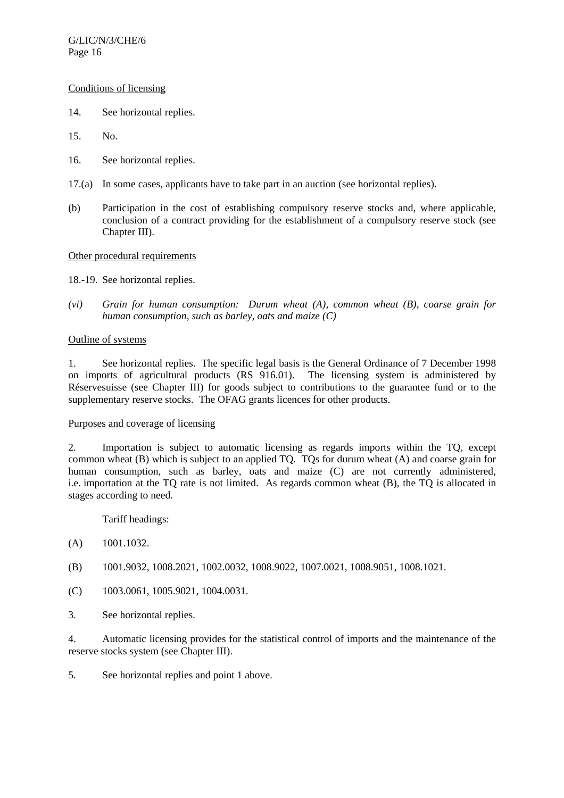## Conditions of licensing

- 14. See horizontal replies.
- 15. No.
- 16. See horizontal replies.
- 17.(a) In some cases, applicants have to take part in an auction (see horizontal replies).
- (b) Participation in the cost of establishing compulsory reserve stocks and, where applicable, conclusion of a contract providing for the establishment of a compulsory reserve stock (see Chapter III).

#### Other procedural requirements

18.-19. See horizontal replies.

*(vi) Grain for human consumption: Durum wheat (A), common wheat (B), coarse grain for human consumption, such as barley, oats and maize (C)* 

#### Outline of systems

1. See horizontal replies. The specific legal basis is the General Ordinance of 7 December 1998 on imports of agricultural products (RS 916.01). The licensing system is administered by Réservesuisse (see Chapter III) for goods subject to contributions to the guarantee fund or to the supplementary reserve stocks. The OFAG grants licences for other products.

#### Purposes and coverage of licensing

2. Importation is subject to automatic licensing as regards imports within the TQ, except common wheat (B) which is subject to an applied TQ. TQs for durum wheat (A) and coarse grain for human consumption, such as barley, oats and maize (C) are not currently administered, i.e. importation at the TQ rate is not limited. As regards common wheat (B), the TQ is allocated in stages according to need.

Tariff headings:

- (A) 1001.1032.
- (B) 1001.9032, 1008.2021, 1002.0032, 1008.9022, 1007.0021, 1008.9051, 1008.1021.
- (C) 1003.0061, 1005.9021, 1004.0031.
- 3. See horizontal replies.

4. Automatic licensing provides for the statistical control of imports and the maintenance of the reserve stocks system (see Chapter III).

5. See horizontal replies and point 1 above.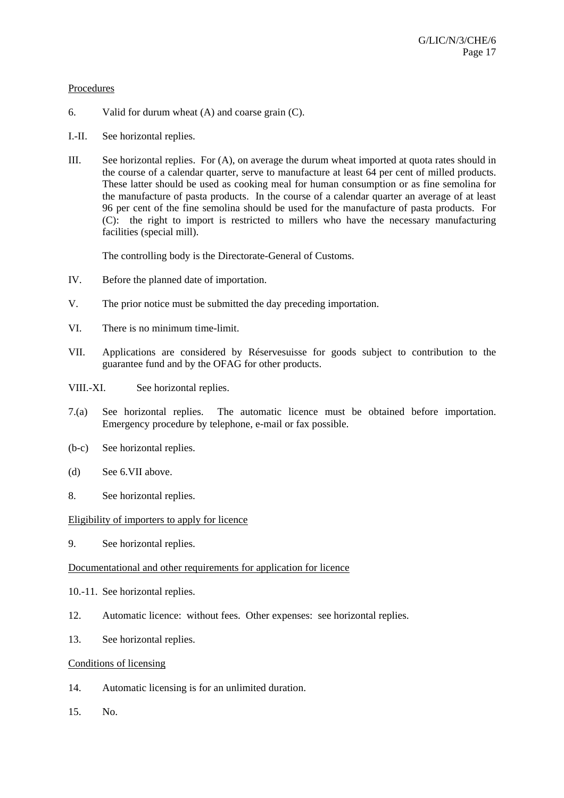#### **Procedures**

- 6. Valid for durum wheat (A) and coarse grain (C).
- I.-II. See horizontal replies.
- III. See horizontal replies. For (A), on average the durum wheat imported at quota rates should in the course of a calendar quarter, serve to manufacture at least 64 per cent of milled products. These latter should be used as cooking meal for human consumption or as fine semolina for the manufacture of pasta products. In the course of a calendar quarter an average of at least 96 per cent of the fine semolina should be used for the manufacture of pasta products. For (C): the right to import is restricted to millers who have the necessary manufacturing facilities (special mill).

The controlling body is the Directorate-General of Customs.

- IV. Before the planned date of importation.
- V. The prior notice must be submitted the day preceding importation.
- VI. There is no minimum time-limit.
- VII. Applications are considered by Réservesuisse for goods subject to contribution to the guarantee fund and by the OFAG for other products.
- VIII.-XI. See horizontal replies.
- 7.(a) See horizontal replies. The automatic licence must be obtained before importation. Emergency procedure by telephone, e-mail or fax possible.
- (b-c) See horizontal replies.
- (d) See 6.VII above.
- 8. See horizontal replies.

## Eligibility of importers to apply for licence

9. See horizontal replies.

## Documentational and other requirements for application for licence

- 10.-11. See horizontal replies.
- 12. Automatic licence: without fees. Other expenses: see horizontal replies.
- 13. See horizontal replies.

## Conditions of licensing

- 14. Automatic licensing is for an unlimited duration.
- 15. No.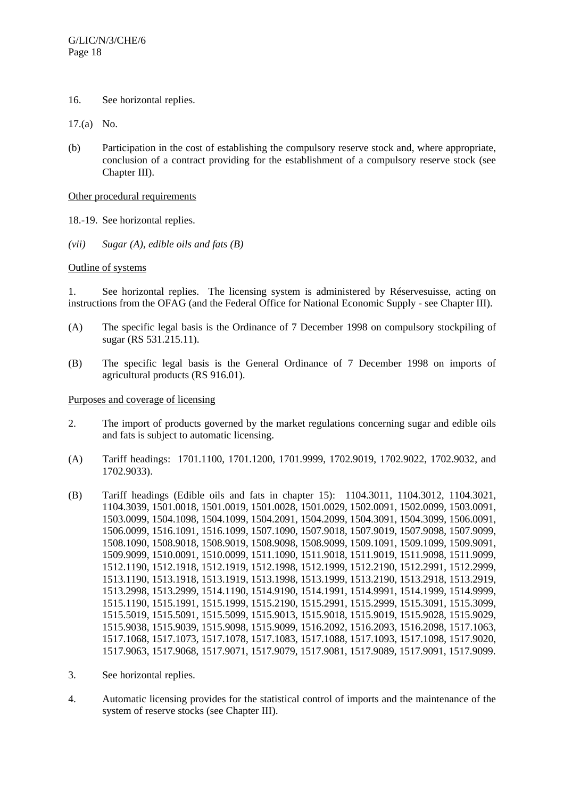- 16. See horizontal replies.
- 17.(a) No.
- (b) Participation in the cost of establishing the compulsory reserve stock and, where appropriate, conclusion of a contract providing for the establishment of a compulsory reserve stock (see Chapter III).

## Other procedural requirements

- 18.-19. See horizontal replies.
- *(vii) Sugar (A), edible oils and fats (B)*

## Outline of systems

1. See horizontal replies. The licensing system is administered by Réservesuisse, acting on instructions from the OFAG (and the Federal Office for National Economic Supply - see Chapter III).

- (A) The specific legal basis is the Ordinance of 7 December 1998 on compulsory stockpiling of sugar (RS 531.215.11).
- (B) The specific legal basis is the General Ordinance of 7 December 1998 on imports of agricultural products (RS 916.01).

## Purposes and coverage of licensing

- 2. The import of products governed by the market regulations concerning sugar and edible oils and fats is subject to automatic licensing.
- (A) Tariff headings: 1701.1100, 1701.1200, 1701.9999, 1702.9019, 1702.9022, 1702.9032, and 1702.9033).
- (B) Tariff headings (Edible oils and fats in chapter 15): 1104.3011, 1104.3012, 1104.3021, 1104.3039, 1501.0018, 1501.0019, 1501.0028, 1501.0029, 1502.0091, 1502.0099, 1503.0091, 1503.0099, 1504.1098, 1504.1099, 1504.2091, 1504.2099, 1504.3091, 1504.3099, 1506.0091, 1506.0099, 1516.1091, 1516.1099, 1507.1090, 1507.9018, 1507.9019, 1507.9098, 1507.9099, 1508.1090, 1508.9018, 1508.9019, 1508.9098, 1508.9099, 1509.1091, 1509.1099, 1509.9091, 1509.9099, 1510.0091, 1510.0099, 1511.1090, 1511.9018, 1511.9019, 1511.9098, 1511.9099, 1512.1190, 1512.1918, 1512.1919, 1512.1998, 1512.1999, 1512.2190, 1512.2991, 1512.2999, 1513.1190, 1513.1918, 1513.1919, 1513.1998, 1513.1999, 1513.2190, 1513.2918, 1513.2919, 1513.2998, 1513.2999, 1514.1190, 1514.9190, 1514.1991, 1514.9991, 1514.1999, 1514.9999, 1515.1190, 1515.1991, 1515.1999, 1515.2190, 1515.2991, 1515.2999, 1515.3091, 1515.3099, 1515.5019, 1515.5091, 1515.5099, 1515.9013, 1515.9018, 1515.9019, 1515.9028, 1515.9029, 1515.9038, 1515.9039, 1515.9098, 1515.9099, 1516.2092, 1516.2093, 1516.2098, 1517.1063, 1517.1068, 1517.1073, 1517.1078, 1517.1083, 1517.1088, 1517.1093, 1517.1098, 1517.9020, 1517.9063, 1517.9068, 1517.9071, 1517.9079, 1517.9081, 1517.9089, 1517.9091, 1517.9099.
- 3. See horizontal replies.
- 4. Automatic licensing provides for the statistical control of imports and the maintenance of the system of reserve stocks (see Chapter III).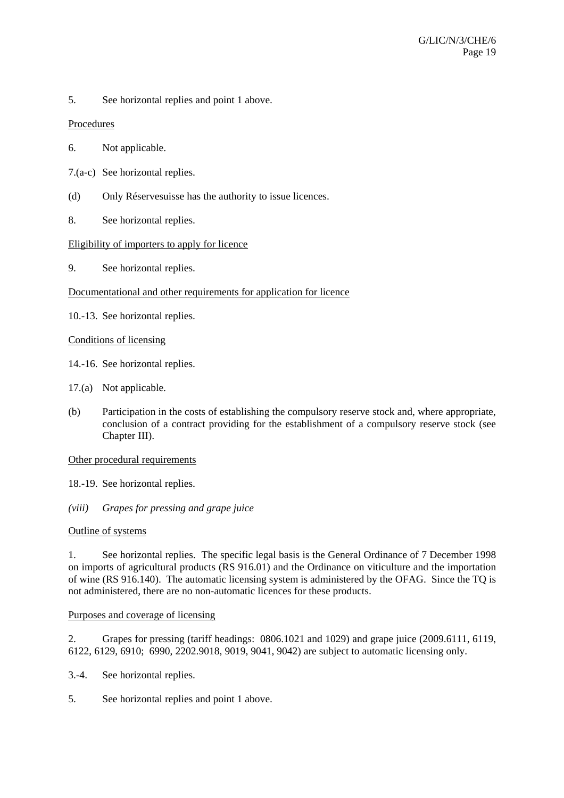5. See horizontal replies and point 1 above.

# Procedures

- 6. Not applicable.
- 7.(a-c) See horizontal replies.
- (d) Only Réservesuisse has the authority to issue licences.
- 8. See horizontal replies.

# Eligibility of importers to apply for licence

9. See horizontal replies.

# Documentational and other requirements for application for licence

10.-13. See horizontal replies.

# Conditions of licensing

- 14.-16. See horizontal replies.
- 17.(a) Not applicable.
- (b) Participation in the costs of establishing the compulsory reserve stock and, where appropriate, conclusion of a contract providing for the establishment of a compulsory reserve stock (see Chapter III).

## Other procedural requirements

- 18.-19. See horizontal replies.
- *(viii) Grapes for pressing and grape juice*

## Outline of systems

1. See horizontal replies. The specific legal basis is the General Ordinance of 7 December 1998 on imports of agricultural products (RS 916.01) and the Ordinance on viticulture and the importation of wine (RS 916.140). The automatic licensing system is administered by the OFAG. Since the TQ is not administered, there are no non-automatic licences for these products.

## Purposes and coverage of licensing

2. Grapes for pressing (tariff headings: 0806.1021 and 1029) and grape juice (2009.6111, 6119, 6122, 6129, 6910; 6990, 2202.9018, 9019, 9041, 9042) are subject to automatic licensing only.

- 3.-4. See horizontal replies.
- 5. See horizontal replies and point 1 above.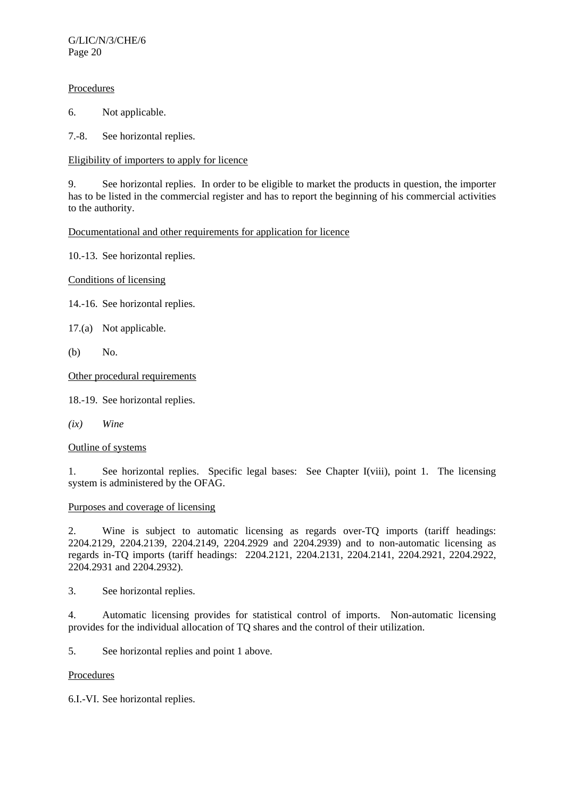G/LIC/N/3/CHE/6 Page 20

## **Procedures**

6. Not applicable.

7.-8. See horizontal replies.

Eligibility of importers to apply for licence

9. See horizontal replies. In order to be eligible to market the products in question, the importer has to be listed in the commercial register and has to report the beginning of his commercial activities to the authority.

# Documentational and other requirements for application for licence

10.-13. See horizontal replies.

Conditions of licensing

- 14.-16. See horizontal replies.
- 17.(a) Not applicable.
- (b) No.

Other procedural requirements

18.-19. See horizontal replies.

*(ix) Wine* 

## Outline of systems

1. See horizontal replies. Specific legal bases: See Chapter I(viii), point 1. The licensing system is administered by the OFAG.

## Purposes and coverage of licensing

2. Wine is subject to automatic licensing as regards over-TQ imports (tariff headings: 2204.2129, 2204.2139, 2204.2149, 2204.2929 and 2204.2939) and to non-automatic licensing as regards in-TQ imports (tariff headings: 2204.2121, 2204.2131, 2204.2141, 2204.2921, 2204.2922, 2204.2931 and 2204.2932).

3. See horizontal replies.

4. Automatic licensing provides for statistical control of imports. Non-automatic licensing provides for the individual allocation of TQ shares and the control of their utilization.

5. See horizontal replies and point 1 above.

## Procedures

6.I.-VI. See horizontal replies.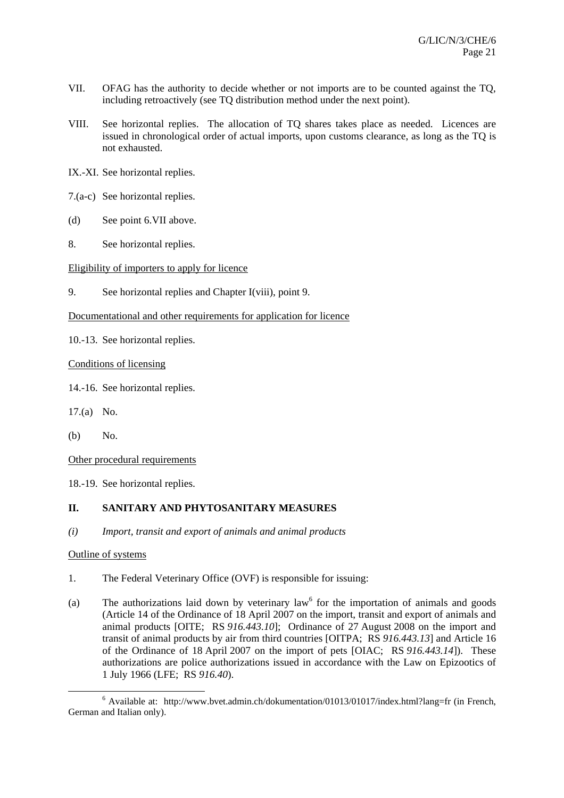- VII. OFAG has the authority to decide whether or not imports are to be counted against the TQ, including retroactively (see TQ distribution method under the next point).
- VIII. See horizontal replies. The allocation of TQ shares takes place as needed. Licences are issued in chronological order of actual imports, upon customs clearance, as long as the TQ is not exhausted.
- IX.-XI. See horizontal replies.
- 7.(a-c) See horizontal replies.
- (d) See point 6.VII above.
- 8. See horizontal replies.

## Eligibility of importers to apply for licence

- 9. See horizontal replies and Chapter I(viii), point 9.
- Documentational and other requirements for application for licence
- 10.-13. See horizontal replies.

Conditions of licensing

- 14.-16. See horizontal replies.
- 17.(a) No.
- (b) No.

Other procedural requirements

18.-19. See horizontal replies.

## **II. SANITARY AND PHYTOSANITARY MEASURES**

*(i) Import, transit and export of animals and animal products* 

## Outline of systems

- 1. The Federal Veterinary Office (OVF) is responsible for issuing:
- (a) The authorizations laid down by veterinary  $law<sup>6</sup>$  for the importation of animals and goods (Article 14 of the Ordinance of 18 April 2007 on the import, transit and export of animals and animal products [OITE; RS *916.443.10*]; Ordinance of 27 August 2008 on the import and transit of animal products by air from third countries [OITPA; RS *916.443.13*] and Article 16 of the Ordinance of 18 April 2007 on the import of pets [OIAC; RS *916.443.14*]). These authorizations are police authorizations issued in accordance with the Law on Epizootics of 1 July 1966 (LFE; RS *916.40*).

 $\overline{6}$  $6$  Available at: http://www.bvet.admin.ch/dokumentation/01013/01017/index.html?lang=fr (in French, German and Italian only).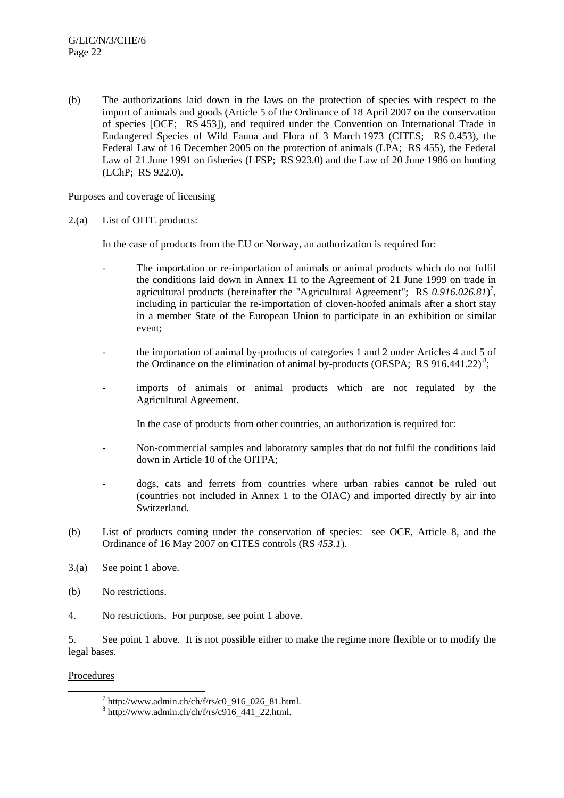(b) The authorizations laid down in the laws on the protection of species with respect to the import of animals and goods (Article 5 of the Ordinance of 18 April 2007 on the conservation of species [OCE; RS 453]), and required under the Convention on International Trade in Endangered Species of Wild Fauna and Flora of 3 March 1973 (CITES; RS 0.453), the Federal Law of 16 December 2005 on the protection of animals (LPA; RS 455), the Federal Law of 21 June 1991 on fisheries (LFSP; RS 923.0) and the Law of 20 June 1986 on hunting (LChP; RS 922.0).

## Purposes and coverage of licensing

## 2.(a) List of OITE products:

In the case of products from the EU or Norway, an authorization is required for:

- The importation or re-importation of animals or animal products which do not fulfil the conditions laid down in Annex 11 to the Agreement of 21 June 1999 on trade in agricultural products (hereinafter the "Agricultural Agreement"; RS 0.916.026.81)<sup>7</sup>, including in particular the re-importation of cloven-hoofed animals after a short stay in a member State of the European Union to participate in an exhibition or similar event;
- the importation of animal by-products of categories 1 and 2 under Articles 4 and 5 of the Ordinance on the elimination of animal by-products (OESPA; RS 916.441.22)<sup>8</sup>;
- imports of animals or animal products which are not regulated by the Agricultural Agreement.

In the case of products from other countries, an authorization is required for:

- Non-commercial samples and laboratory samples that do not fulfil the conditions laid down in Article 10 of the OITPA;
- dogs, cats and ferrets from countries where urban rabies cannot be ruled out (countries not included in Annex 1 to the OIAC) and imported directly by air into Switzerland.
- (b) List of products coming under the conservation of species: see OCE, Article 8, and the Ordinance of 16 May 2007 on CITES controls (RS *453.1*).
- 3.(a) See point 1 above.
- (b) No restrictions.
- 4. No restrictions. For purpose, see point 1 above.

5. See point 1 above. It is not possible either to make the regime more flexible or to modify the legal bases.

## **Procedures**

 <sup>7</sup>  $^7$  http://www.admin.ch/ch/f/rs/c0\_916\_026\_81.html.

 $8 \text{ http://www.admin.ch/ch/f/rs/c916_441_22.html.}$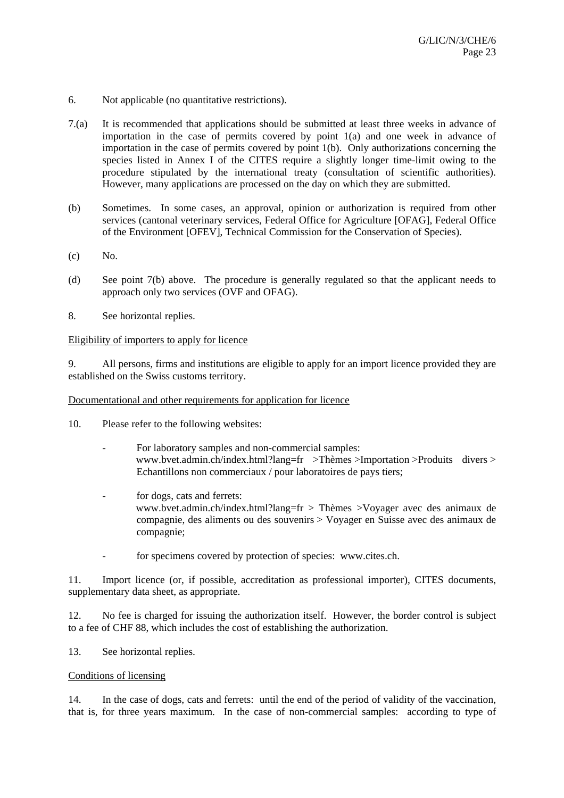- 6. Not applicable (no quantitative restrictions).
- 7.(a) It is recommended that applications should be submitted at least three weeks in advance of importation in the case of permits covered by point 1(a) and one week in advance of importation in the case of permits covered by point 1(b). Only authorizations concerning the species listed in Annex I of the CITES require a slightly longer time-limit owing to the procedure stipulated by the international treaty (consultation of scientific authorities). However, many applications are processed on the day on which they are submitted.
- (b) Sometimes. In some cases, an approval, opinion or authorization is required from other services (cantonal veterinary services, Federal Office for Agriculture [OFAG], Federal Office of the Environment [OFEV], Technical Commission for the Conservation of Species).
- (c) No.
- (d) See point 7(b) above. The procedure is generally regulated so that the applicant needs to approach only two services (OVF and OFAG).
- 8. See horizontal replies.

## Eligibility of importers to apply for licence

9. All persons, firms and institutions are eligible to apply for an import licence provided they are established on the Swiss customs territory.

## Documentational and other requirements for application for licence

- 10. Please refer to the following websites:
	- For laboratory samples and non-commercial samples: www.bvet.admin.ch/index.html?lang=fr >Thèmes >Importation >Produits divers > Echantillons non commerciaux / pour laboratoires de pays tiers;
	- for dogs, cats and ferrets: www.bvet.admin.ch/index.html?lang=fr > Thèmes >Voyager avec des animaux de compagnie, des aliments ou des souvenirs > Voyager en Suisse avec des animaux de compagnie;
	- for specimens covered by protection of species: www.cites.ch.

11. Import licence (or, if possible, accreditation as professional importer), CITES documents, supplementary data sheet, as appropriate.

12. No fee is charged for issuing the authorization itself. However, the border control is subject to a fee of CHF 88, which includes the cost of establishing the authorization.

13. See horizontal replies.

## Conditions of licensing

14. In the case of dogs, cats and ferrets: until the end of the period of validity of the vaccination, that is, for three years maximum. In the case of non-commercial samples: according to type of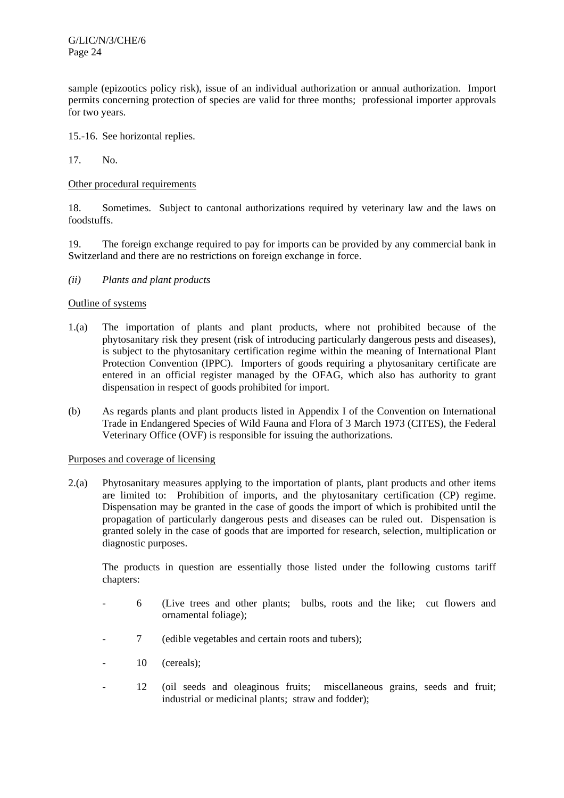G/LIC/N/3/CHE/6 Page 24

sample (epizootics policy risk), issue of an individual authorization or annual authorization. Import permits concerning protection of species are valid for three months; professional importer approvals for two years.

15.-16. See horizontal replies.

17. No.

## Other procedural requirements

18. Sometimes. Subject to cantonal authorizations required by veterinary law and the laws on foodstuffs.

19. The foreign exchange required to pay for imports can be provided by any commercial bank in Switzerland and there are no restrictions on foreign exchange in force.

#### *(ii) Plants and plant products*

#### Outline of systems

- 1.(a) The importation of plants and plant products, where not prohibited because of the phytosanitary risk they present (risk of introducing particularly dangerous pests and diseases), is subject to the phytosanitary certification regime within the meaning of International Plant Protection Convention (IPPC). Importers of goods requiring a phytosanitary certificate are entered in an official register managed by the OFAG, which also has authority to grant dispensation in respect of goods prohibited for import.
- (b) As regards plants and plant products listed in Appendix I of the Convention on International Trade in Endangered Species of Wild Fauna and Flora of 3 March 1973 (CITES), the Federal Veterinary Office (OVF) is responsible for issuing the authorizations.

## Purposes and coverage of licensing

2.(a) Phytosanitary measures applying to the importation of plants, plant products and other items are limited to: Prohibition of imports, and the phytosanitary certification (CP) regime. Dispensation may be granted in the case of goods the import of which is prohibited until the propagation of particularly dangerous pests and diseases can be ruled out. Dispensation is granted solely in the case of goods that are imported for research, selection, multiplication or diagnostic purposes.

The products in question are essentially those listed under the following customs tariff chapters:

- 6 (Live trees and other plants; bulbs, roots and the like; cut flowers and ornamental foliage);
- 7 (edible vegetables and certain roots and tubers);
- 10 (cereals);
- 12 (oil seeds and oleaginous fruits; miscellaneous grains, seeds and fruit; industrial or medicinal plants; straw and fodder);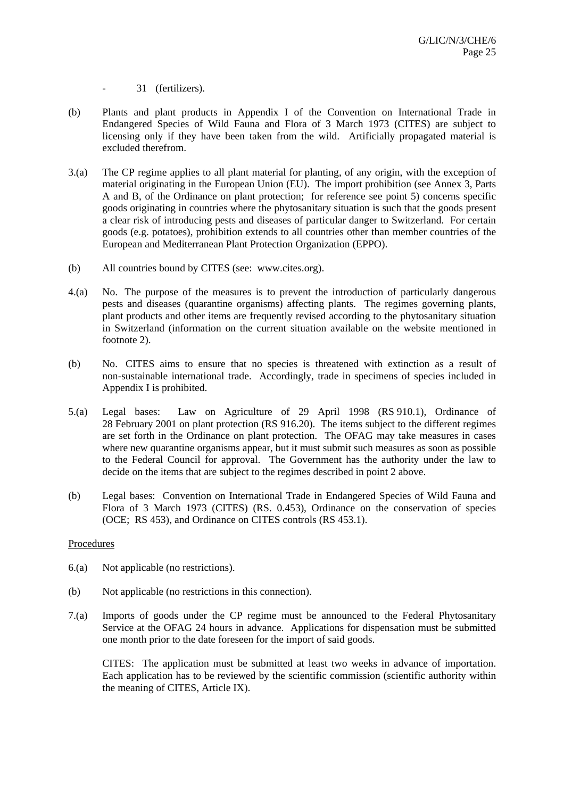- 31 (fertilizers).

- (b) Plants and plant products in Appendix I of the Convention on International Trade in Endangered Species of Wild Fauna and Flora of 3 March 1973 (CITES) are subject to licensing only if they have been taken from the wild. Artificially propagated material is excluded therefrom.
- 3.(a) The CP regime applies to all plant material for planting, of any origin, with the exception of material originating in the European Union (EU). The import prohibition (see Annex 3, Parts A and B, of the Ordinance on plant protection; for reference see point 5) concerns specific goods originating in countries where the phytosanitary situation is such that the goods present a clear risk of introducing pests and diseases of particular danger to Switzerland. For certain goods (e.g. potatoes), prohibition extends to all countries other than member countries of the European and Mediterranean Plant Protection Organization (EPPO).
- (b) All countries bound by CITES (see: www.cites.org).
- 4.(a) No. The purpose of the measures is to prevent the introduction of particularly dangerous pests and diseases (quarantine organisms) affecting plants. The regimes governing plants, plant products and other items are frequently revised according to the phytosanitary situation in Switzerland (information on the current situation available on the website mentioned in footnote 2).
- (b) No. CITES aims to ensure that no species is threatened with extinction as a result of non-sustainable international trade. Accordingly, trade in specimens of species included in Appendix I is prohibited.
- 5.(a) Legal bases: Law on Agriculture of 29 April 1998 (RS 910.1), Ordinance of 28 February 2001 on plant protection (RS 916.20). The items subject to the different regimes are set forth in the Ordinance on plant protection. The OFAG may take measures in cases where new quarantine organisms appear, but it must submit such measures as soon as possible to the Federal Council for approval. The Government has the authority under the law to decide on the items that are subject to the regimes described in point 2 above.
- (b) Legal bases: Convention on International Trade in Endangered Species of Wild Fauna and Flora of 3 March 1973 (CITES) (RS. 0.453), Ordinance on the conservation of species (OCE; RS 453), and Ordinance on CITES controls (RS 453.1).

## **Procedures**

- 6.(a) Not applicable (no restrictions).
- (b) Not applicable (no restrictions in this connection).
- 7.(a) Imports of goods under the CP regime must be announced to the Federal Phytosanitary Service at the OFAG 24 hours in advance. Applications for dispensation must be submitted one month prior to the date foreseen for the import of said goods.

CITES: The application must be submitted at least two weeks in advance of importation. Each application has to be reviewed by the scientific commission (scientific authority within the meaning of CITES, Article IX).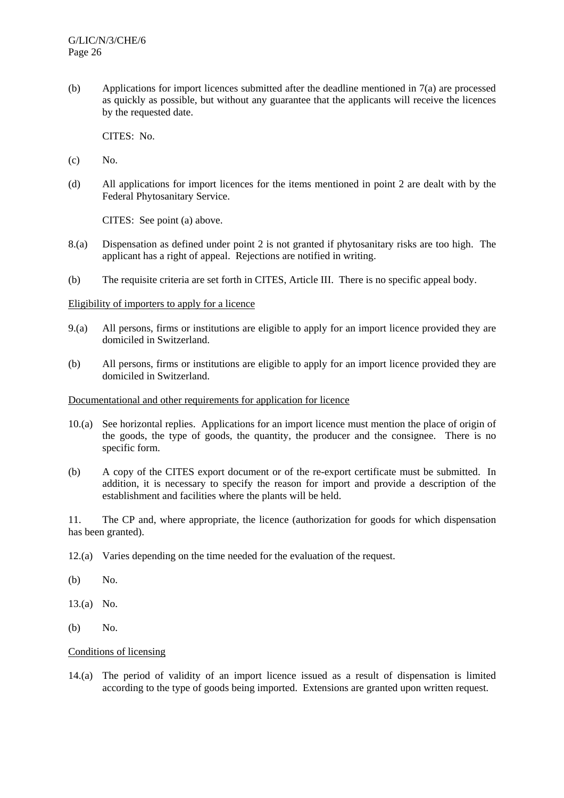(b) Applications for import licences submitted after the deadline mentioned in 7(a) are processed as quickly as possible, but without any guarantee that the applicants will receive the licences by the requested date.

CITES: No.

- (c) No.
- (d) All applications for import licences for the items mentioned in point 2 are dealt with by the Federal Phytosanitary Service.

CITES: See point (a) above.

- 8.(a) Dispensation as defined under point 2 is not granted if phytosanitary risks are too high. The applicant has a right of appeal. Rejections are notified in writing.
- (b) The requisite criteria are set forth in CITES, Article III. There is no specific appeal body.

#### Eligibility of importers to apply for a licence

- 9.(a) All persons, firms or institutions are eligible to apply for an import licence provided they are domiciled in Switzerland.
- (b) All persons, firms or institutions are eligible to apply for an import licence provided they are domiciled in Switzerland.

#### Documentational and other requirements for application for licence

- 10.(a) See horizontal replies. Applications for an import licence must mention the place of origin of the goods, the type of goods, the quantity, the producer and the consignee. There is no specific form.
- (b) A copy of the CITES export document or of the re-export certificate must be submitted. In addition, it is necessary to specify the reason for import and provide a description of the establishment and facilities where the plants will be held.

11. The CP and, where appropriate, the licence (authorization for goods for which dispensation has been granted).

- 12.(a) Varies depending on the time needed for the evaluation of the request.
- (b) No.
- 13.(a) No.
- (b) No.

## Conditions of licensing

14.(a) The period of validity of an import licence issued as a result of dispensation is limited according to the type of goods being imported. Extensions are granted upon written request.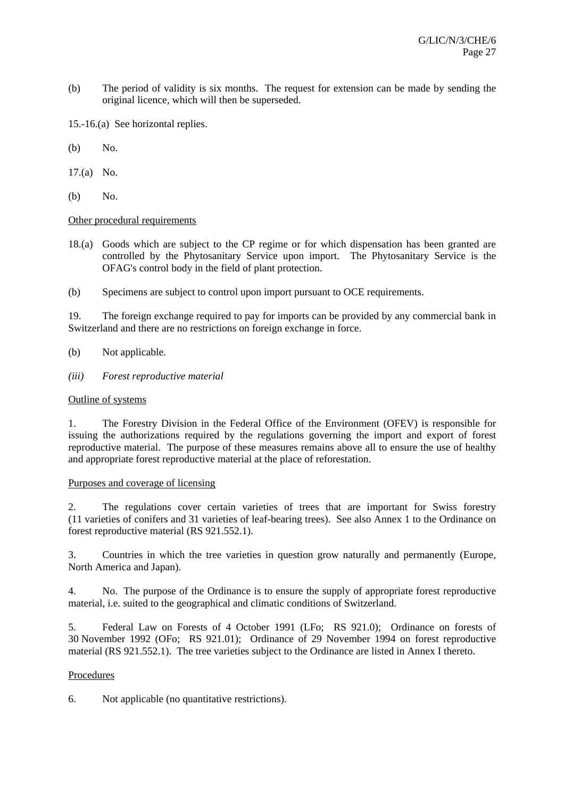- (b) The period of validity is six months. The request for extension can be made by sending the original licence, which will then be superseded.
- 15.-16.(a) See horizontal replies.
- (b) No.
- 17.(a) No.
- (b) No.

## Other procedural requirements

- 18.(a) Goods which are subject to the CP regime or for which dispensation has been granted are controlled by the Phytosanitary Service upon import. The Phytosanitary Service is the OFAG's control body in the field of plant protection.
- (b) Specimens are subject to control upon import pursuant to OCE requirements.

19. The foreign exchange required to pay for imports can be provided by any commercial bank in Switzerland and there are no restrictions on foreign exchange in force.

- (b) Not applicable.
- *(iii) Forest reproductive material*

## Outline of systems

1. The Forestry Division in the Federal Office of the Environment (OFEV) is responsible for issuing the authorizations required by the regulations governing the import and export of forest reproductive material. The purpose of these measures remains above all to ensure the use of healthy and appropriate forest reproductive material at the place of reforestation.

## Purposes and coverage of licensing

2. The regulations cover certain varieties of trees that are important for Swiss forestry (11 varieties of conifers and 31 varieties of leaf-bearing trees). See also Annex 1 to the Ordinance on forest reproductive material (RS 921.552.1).

3. Countries in which the tree varieties in question grow naturally and permanently (Europe, North America and Japan).

4. No. The purpose of the Ordinance is to ensure the supply of appropriate forest reproductive material, i.e. suited to the geographical and climatic conditions of Switzerland.

5. Federal Law on Forests of 4 October 1991 (LFo; RS 921.0); Ordinance on forests of 30 November 1992 (OFo; RS 921.01); Ordinance of 29 November 1994 on forest reproductive material (RS 921.552.1). The tree varieties subject to the Ordinance are listed in Annex I thereto.

## Procedures

6. Not applicable (no quantitative restrictions).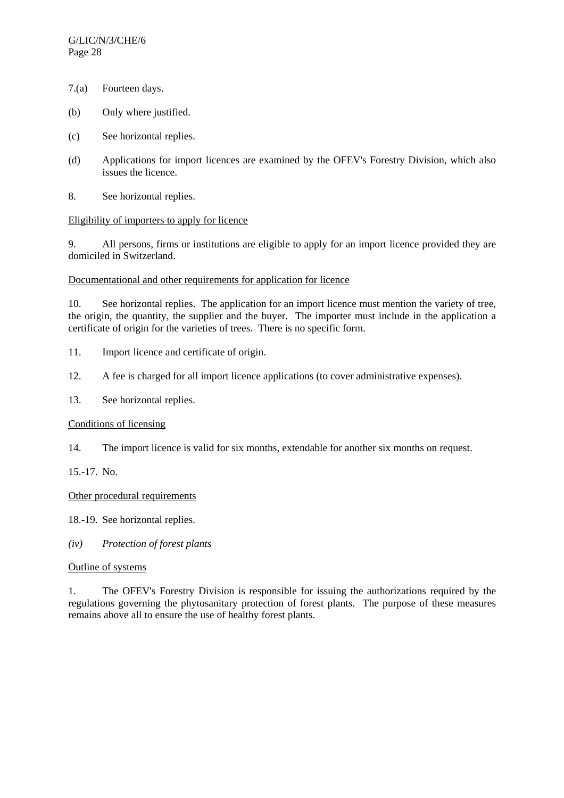- 7.(a) Fourteen days.
- (b) Only where justified.
- (c) See horizontal replies.
- (d) Applications for import licences are examined by the OFEV's Forestry Division, which also issues the licence.
- 8. See horizontal replies.

## Eligibility of importers to apply for licence

9. All persons, firms or institutions are eligible to apply for an import licence provided they are domiciled in Switzerland.

## Documentational and other requirements for application for licence

10. See horizontal replies. The application for an import licence must mention the variety of tree, the origin, the quantity, the supplier and the buyer. The importer must include in the application a certificate of origin for the varieties of trees. There is no specific form.

- 11. Import licence and certificate of origin.
- 12. A fee is charged for all import licence applications (to cover administrative expenses).
- 13. See horizontal replies.

## Conditions of licensing

14. The import licence is valid for six months, extendable for another six months on request.

15.-17. No.

## Other procedural requirements

18.-19. See horizontal replies.

*(iv) Protection of forest plants* 

## Outline of systems

1. The OFEV's Forestry Division is responsible for issuing the authorizations required by the regulations governing the phytosanitary protection of forest plants. The purpose of these measures remains above all to ensure the use of healthy forest plants.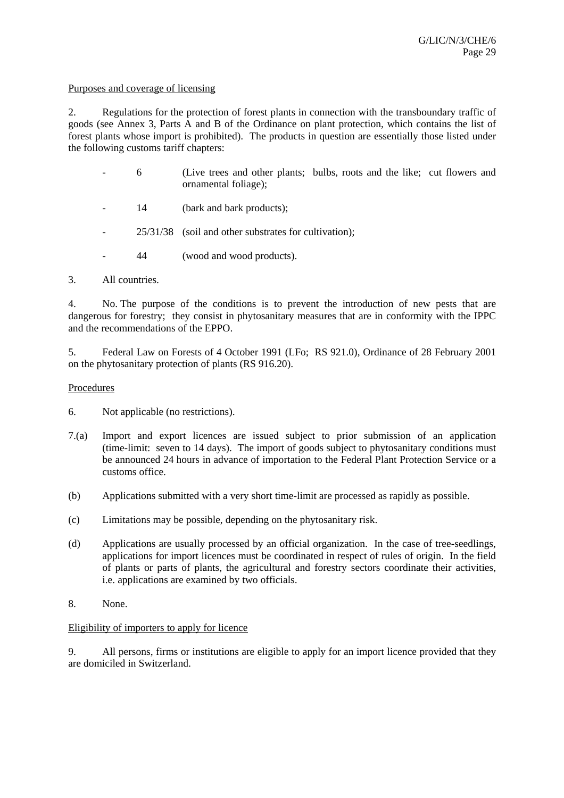#### Purposes and coverage of licensing

2. Regulations for the protection of forest plants in connection with the transboundary traffic of goods (see Annex 3, Parts A and B of the Ordinance on plant protection, which contains the list of forest plants whose import is prohibited). The products in question are essentially those listed under the following customs tariff chapters:

- 6 (Live trees and other plants; bulbs, roots and the like; cut flowers and ornamental foliage);
- 14 (bark and bark products);
- 25/31/38 (soil and other substrates for cultivation);
- 44 (wood and wood products).

## 3. All countries.

4. No. The purpose of the conditions is to prevent the introduction of new pests that are dangerous for forestry; they consist in phytosanitary measures that are in conformity with the IPPC and the recommendations of the EPPO.

5. Federal Law on Forests of 4 October 1991 (LFo; RS 921.0), Ordinance of 28 February 2001 on the phytosanitary protection of plants (RS 916.20).

## Procedures

- 6. Not applicable (no restrictions).
- 7.(a) Import and export licences are issued subject to prior submission of an application (time-limit: seven to 14 days). The import of goods subject to phytosanitary conditions must be announced 24 hours in advance of importation to the Federal Plant Protection Service or a customs office.
- (b) Applications submitted with a very short time-limit are processed as rapidly as possible.
- (c) Limitations may be possible, depending on the phytosanitary risk.
- (d) Applications are usually processed by an official organization. In the case of tree-seedlings, applications for import licences must be coordinated in respect of rules of origin. In the field of plants or parts of plants, the agricultural and forestry sectors coordinate their activities, i.e. applications are examined by two officials.
- 8. None.

## Eligibility of importers to apply for licence

9. All persons, firms or institutions are eligible to apply for an import licence provided that they are domiciled in Switzerland.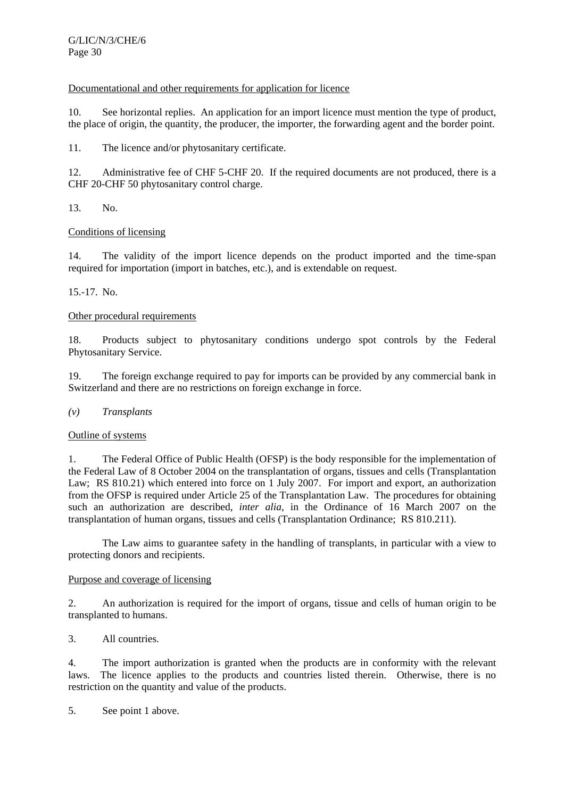# Documentational and other requirements for application for licence

10. See horizontal replies. An application for an import licence must mention the type of product, the place of origin, the quantity, the producer, the importer, the forwarding agent and the border point.

11. The licence and/or phytosanitary certificate.

12. Administrative fee of CHF 5-CHF 20. If the required documents are not produced, there is a CHF 20-CHF 50 phytosanitary control charge.

13. No.

# Conditions of licensing

14. The validity of the import licence depends on the product imported and the time-span required for importation (import in batches, etc.), and is extendable on request.

# 15.-17. No.

# Other procedural requirements

18. Products subject to phytosanitary conditions undergo spot controls by the Federal Phytosanitary Service.

19. The foreign exchange required to pay for imports can be provided by any commercial bank in Switzerland and there are no restrictions on foreign exchange in force.

## *(v) Transplants*

## Outline of systems

1. The Federal Office of Public Health (OFSP) is the body responsible for the implementation of the Federal Law of 8 October 2004 on the transplantation of organs, tissues and cells (Transplantation Law; RS 810.21) which entered into force on 1 July 2007. For import and export, an authorization from the OFSP is required under Article 25 of the Transplantation Law. The procedures for obtaining such an authorization are described, *inter alia*, in the Ordinance of 16 March 2007 on the transplantation of human organs, tissues and cells (Transplantation Ordinance; RS 810.211).

 The Law aims to guarantee safety in the handling of transplants, in particular with a view to protecting donors and recipients.

## Purpose and coverage of licensing

2. An authorization is required for the import of organs, tissue and cells of human origin to be transplanted to humans.

3. All countries.

4. The import authorization is granted when the products are in conformity with the relevant laws. The licence applies to the products and countries listed therein. Otherwise, there is no restriction on the quantity and value of the products.

5. See point 1 above.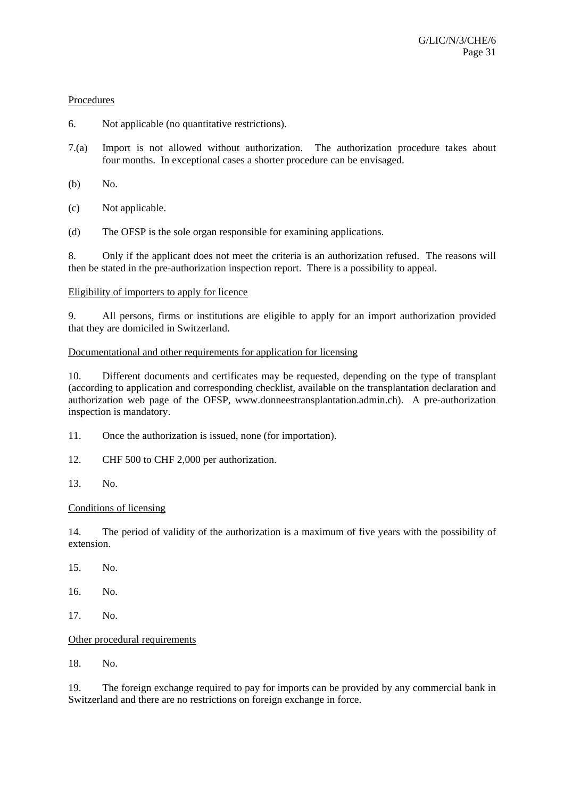## Procedures

- 6. Not applicable (no quantitative restrictions).
- 7.(a) Import is not allowed without authorization. The authorization procedure takes about four months. In exceptional cases a shorter procedure can be envisaged.
- (b) No.
- (c) Not applicable.
- (d) The OFSP is the sole organ responsible for examining applications.

8. Only if the applicant does not meet the criteria is an authorization refused. The reasons will then be stated in the pre-authorization inspection report. There is a possibility to appeal.

## Eligibility of importers to apply for licence

9. All persons, firms or institutions are eligible to apply for an import authorization provided that they are domiciled in Switzerland.

## Documentational and other requirements for application for licensing

10. Different documents and certificates may be requested, depending on the type of transplant (according to application and corresponding checklist, available on the transplantation declaration and authorization web page of the OFSP, www.donneestransplantation.admin.ch). A pre-authorization inspection is mandatory.

- 11. Once the authorization is issued, none (for importation).
- 12. CHF 500 to CHF 2,000 per authorization.
- 13. No.

## Conditions of licensing

14. The period of validity of the authorization is a maximum of five years with the possibility of extension.

- 15. No.
- 16. No.
- 17. No.

# Other procedural requirements

18. No.

19. The foreign exchange required to pay for imports can be provided by any commercial bank in Switzerland and there are no restrictions on foreign exchange in force.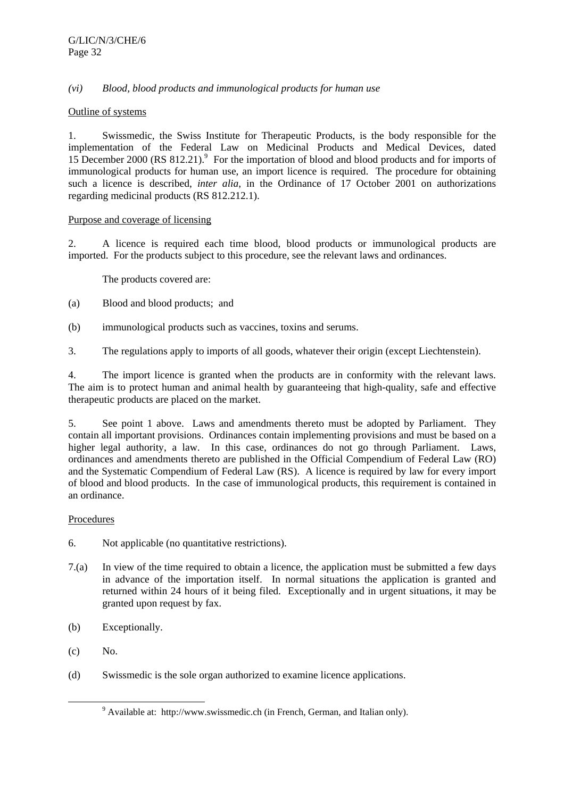# *(vi) Blood, blood products and immunological products for human use*

## Outline of systems

1. Swissmedic, the Swiss Institute for Therapeutic Products, is the body responsible for the implementation of the Federal Law on Medicinal Products and Medical Devices, dated 15 December 2000 (RS 812.21).<sup>9</sup> For the importation of blood and blood products and for imports of immunological products for human use, an import licence is required. The procedure for obtaining such a licence is described, *inter alia*, in the Ordinance of 17 October 2001 on authorizations regarding medicinal products (RS 812.212.1).

# Purpose and coverage of licensing

2. A licence is required each time blood, blood products or immunological products are imported. For the products subject to this procedure, see the relevant laws and ordinances.

The products covered are:

- (a) Blood and blood products; and
- (b) immunological products such as vaccines, toxins and serums.
- 3. The regulations apply to imports of all goods, whatever their origin (except Liechtenstein).

4. The import licence is granted when the products are in conformity with the relevant laws. The aim is to protect human and animal health by guaranteeing that high-quality, safe and effective therapeutic products are placed on the market.

5. See point 1 above. Laws and amendments thereto must be adopted by Parliament. They contain all important provisions. Ordinances contain implementing provisions and must be based on a higher legal authority, a law. In this case, ordinances do not go through Parliament. Laws, ordinances and amendments thereto are published in the Official Compendium of Federal Law (RO) and the Systematic Compendium of Federal Law (RS). A licence is required by law for every import of blood and blood products. In the case of immunological products, this requirement is contained in an ordinance.

## Procedures

- 6. Not applicable (no quantitative restrictions).
- 7.(a) In view of the time required to obtain a licence, the application must be submitted a few days in advance of the importation itself. In normal situations the application is granted and returned within 24 hours of it being filed. Exceptionally and in urgent situations, it may be granted upon request by fax.
- (b) Exceptionally.
- (c) No.
- (d) Swissmedic is the sole organ authorized to examine licence applications.

 $\frac{1}{9}$  $9$  Available at: http://www.swissmedic.ch (in French, German, and Italian only).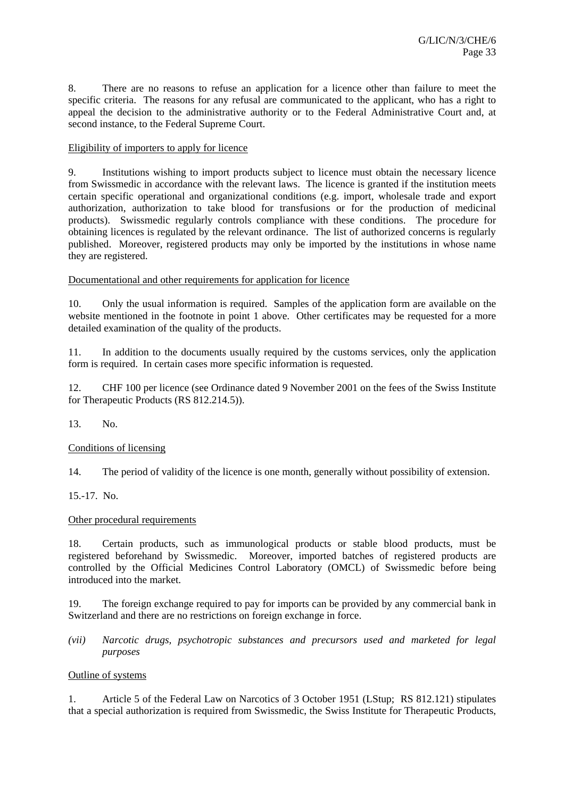8. There are no reasons to refuse an application for a licence other than failure to meet the specific criteria. The reasons for any refusal are communicated to the applicant, who has a right to appeal the decision to the administrative authority or to the Federal Administrative Court and, at second instance, to the Federal Supreme Court.

# Eligibility of importers to apply for licence

9. Institutions wishing to import products subject to licence must obtain the necessary licence from Swissmedic in accordance with the relevant laws. The licence is granted if the institution meets certain specific operational and organizational conditions (e.g. import, wholesale trade and export authorization, authorization to take blood for transfusions or for the production of medicinal products). Swissmedic regularly controls compliance with these conditions. The procedure for obtaining licences is regulated by the relevant ordinance. The list of authorized concerns is regularly published. Moreover, registered products may only be imported by the institutions in whose name they are registered.

# Documentational and other requirements for application for licence

10. Only the usual information is required. Samples of the application form are available on the website mentioned in the footnote in point 1 above. Other certificates may be requested for a more detailed examination of the quality of the products.

11. In addition to the documents usually required by the customs services, only the application form is required. In certain cases more specific information is requested.

12. CHF 100 per licence (see Ordinance dated 9 November 2001 on the fees of the Swiss Institute for Therapeutic Products (RS 812.214.5)).

13. No.

## Conditions of licensing

14. The period of validity of the licence is one month, generally without possibility of extension.

15.-17. No.

## Other procedural requirements

18. Certain products, such as immunological products or stable blood products, must be registered beforehand by Swissmedic. Moreover, imported batches of registered products are controlled by the Official Medicines Control Laboratory (OMCL) of Swissmedic before being introduced into the market.

19. The foreign exchange required to pay for imports can be provided by any commercial bank in Switzerland and there are no restrictions on foreign exchange in force.

*(vii) Narcotic drugs, psychotropic substances and precursors used and marketed for legal purposes* 

## Outline of systems

1. Article 5 of the Federal Law on Narcotics of 3 October 1951 (LStup; RS 812.121) stipulates that a special authorization is required from Swissmedic, the Swiss Institute for Therapeutic Products,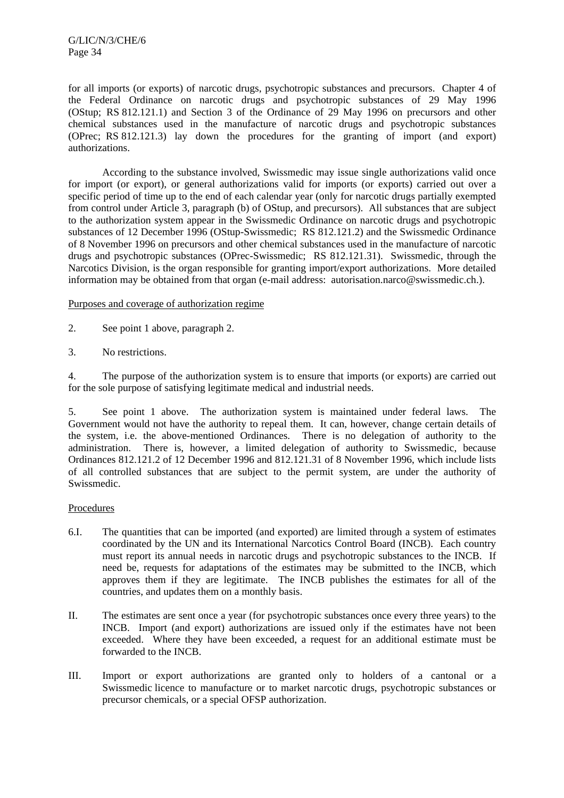G/LIC/N/3/CHE/6 Page 34

for all imports (or exports) of narcotic drugs, psychotropic substances and precursors. Chapter 4 of the Federal Ordinance on narcotic drugs and psychotropic substances of 29 May 1996 (OStup; RS 812.121.1) and Section 3 of the Ordinance of 29 May 1996 on precursors and other chemical substances used in the manufacture of narcotic drugs and psychotropic substances (OPrec; RS 812.121.3) lay down the procedures for the granting of import (and export) authorizations.

 According to the substance involved, Swissmedic may issue single authorizations valid once for import (or export), or general authorizations valid for imports (or exports) carried out over a specific period of time up to the end of each calendar year (only for narcotic drugs partially exempted from control under Article 3, paragraph (b) of OStup, and precursors). All substances that are subject to the authorization system appear in the Swissmedic Ordinance on narcotic drugs and psychotropic substances of 12 December 1996 (OStup-Swissmedic; RS 812.121.2) and the Swissmedic Ordinance of 8 November 1996 on precursors and other chemical substances used in the manufacture of narcotic drugs and psychotropic substances (OPrec-Swissmedic; RS 812.121.31). Swissmedic, through the Narcotics Division, is the organ responsible for granting import/export authorizations. More detailed information may be obtained from that organ (e-mail address: autorisation.narco@swissmedic.ch.).

#### Purposes and coverage of authorization regime

- 2. See point 1 above, paragraph 2.
- 3. No restrictions.

4. The purpose of the authorization system is to ensure that imports (or exports) are carried out for the sole purpose of satisfying legitimate medical and industrial needs.

5. See point 1 above. The authorization system is maintained under federal laws. The Government would not have the authority to repeal them. It can, however, change certain details of the system, i.e. the above-mentioned Ordinances. There is no delegation of authority to the administration. There is, however, a limited delegation of authority to Swissmedic, because Ordinances 812.121.2 of 12 December 1996 and 812.121.31 of 8 November 1996, which include lists of all controlled substances that are subject to the permit system, are under the authority of Swissmedic.

## Procedures

- 6.I. The quantities that can be imported (and exported) are limited through a system of estimates coordinated by the UN and its International Narcotics Control Board (INCB). Each country must report its annual needs in narcotic drugs and psychotropic substances to the INCB. If need be, requests for adaptations of the estimates may be submitted to the INCB, which approves them if they are legitimate. The INCB publishes the estimates for all of the countries, and updates them on a monthly basis.
- II. The estimates are sent once a year (for psychotropic substances once every three years) to the INCB. Import (and export) authorizations are issued only if the estimates have not been exceeded. Where they have been exceeded, a request for an additional estimate must be forwarded to the INCB.
- III. Import or export authorizations are granted only to holders of a cantonal or a Swissmedic licence to manufacture or to market narcotic drugs, psychotropic substances or precursor chemicals, or a special OFSP authorization.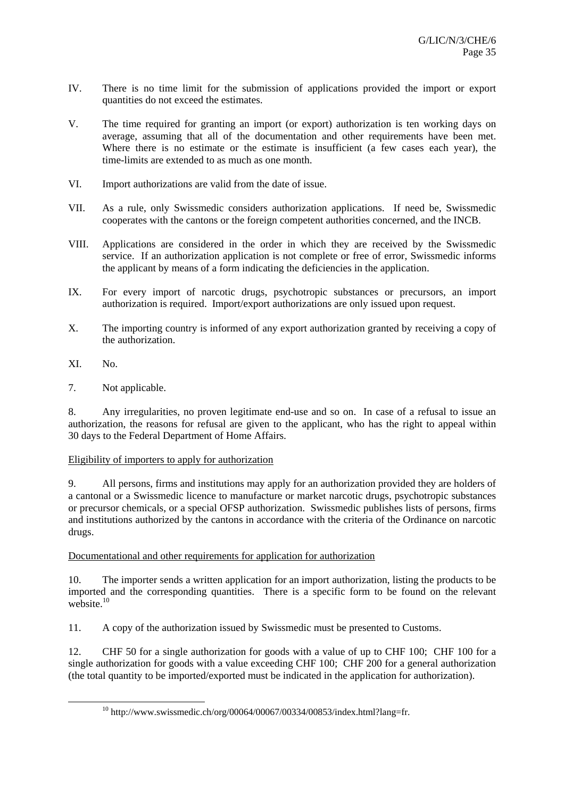- IV. There is no time limit for the submission of applications provided the import or export quantities do not exceed the estimates.
- V. The time required for granting an import (or export) authorization is ten working days on average, assuming that all of the documentation and other requirements have been met. Where there is no estimate or the estimate is insufficient (a few cases each year), the time-limits are extended to as much as one month.
- VI. Import authorizations are valid from the date of issue.
- VII. As a rule, only Swissmedic considers authorization applications. If need be, Swissmedic cooperates with the cantons or the foreign competent authorities concerned, and the INCB.
- VIII. Applications are considered in the order in which they are received by the Swissmedic service. If an authorization application is not complete or free of error, Swissmedic informs the applicant by means of a form indicating the deficiencies in the application.
- IX. For every import of narcotic drugs, psychotropic substances or precursors, an import authorization is required. Import/export authorizations are only issued upon request.
- X. The importing country is informed of any export authorization granted by receiving a copy of the authorization.
- XI. No.
- 7. Not applicable.

8. Any irregularities, no proven legitimate end-use and so on. In case of a refusal to issue an authorization, the reasons for refusal are given to the applicant, who has the right to appeal within 30 days to the Federal Department of Home Affairs.

## Eligibility of importers to apply for authorization

9. All persons, firms and institutions may apply for an authorization provided they are holders of a cantonal or a Swissmedic licence to manufacture or market narcotic drugs, psychotropic substances or precursor chemicals, or a special OFSP authorization. Swissmedic publishes lists of persons, firms and institutions authorized by the cantons in accordance with the criteria of the Ordinance on narcotic drugs.

## Documentational and other requirements for application for authorization

10. The importer sends a written application for an import authorization, listing the products to be imported and the corresponding quantities. There is a specific form to be found on the relevant website.<sup>10</sup>

11. A copy of the authorization issued by Swissmedic must be presented to Customs.

12. CHF 50 for a single authorization for goods with a value of up to CHF 100; CHF 100 for a single authorization for goods with a value exceeding CHF 100; CHF 200 for a general authorization (the total quantity to be imported/exported must be indicated in the application for authorization).

 $10$  http://www.swissmedic.ch/org/00064/00067/00334/00853/index.html?lang=fr.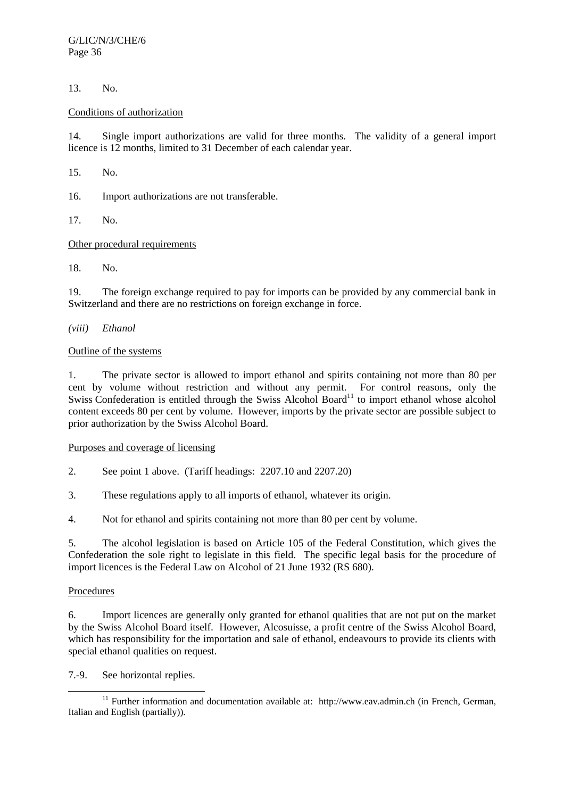13. No.

## Conditions of authorization

14. Single import authorizations are valid for three months. The validity of a general import licence is 12 months, limited to 31 December of each calendar year.

15. No.

16. Import authorizations are not transferable.

17. No.

# Other procedural requirements

18. No.

19. The foreign exchange required to pay for imports can be provided by any commercial bank in Switzerland and there are no restrictions on foreign exchange in force.

*(viii) Ethanol* 

## Outline of the systems

1. The private sector is allowed to import ethanol and spirits containing not more than 80 per cent by volume without restriction and without any permit. For control reasons, only the Swiss Confederation is entitled through the Swiss Alcohol Board<sup>11</sup> to import ethanol whose alcohol content exceeds 80 per cent by volume. However, imports by the private sector are possible subject to prior authorization by the Swiss Alcohol Board.

Purposes and coverage of licensing

- 2. See point 1 above. (Tariff headings: 2207.10 and 2207.20)
- 3. These regulations apply to all imports of ethanol, whatever its origin.
- 4. Not for ethanol and spirits containing not more than 80 per cent by volume.

5. The alcohol legislation is based on Article 105 of the Federal Constitution, which gives the Confederation the sole right to legislate in this field. The specific legal basis for the procedure of import licences is the Federal Law on Alcohol of 21 June 1932 (RS 680).

## **Procedures**

6. Import licences are generally only granted for ethanol qualities that are not put on the market by the Swiss Alcohol Board itself. However, Alcosuisse, a profit centre of the Swiss Alcohol Board, which has responsibility for the importation and sale of ethanol, endeavours to provide its clients with special ethanol qualities on request.

7.-9. See horizontal replies.

<sup>&</sup>lt;sup>11</sup> Further information and documentation available at: http://www.eav.admin.ch (in French, German, Italian and English (partially)).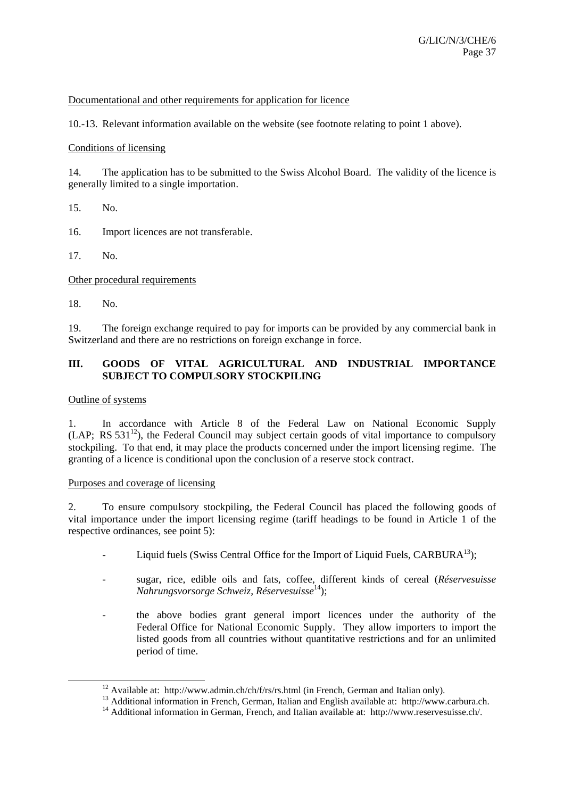## Documentational and other requirements for application for licence

10.-13. Relevant information available on the website (see footnote relating to point 1 above).

#### Conditions of licensing

14. The application has to be submitted to the Swiss Alcohol Board. The validity of the licence is generally limited to a single importation.

15. No.

16. Import licences are not transferable.

17. No.

Other procedural requirements

18. No.

19. The foreign exchange required to pay for imports can be provided by any commercial bank in Switzerland and there are no restrictions on foreign exchange in force.

# **III. GOODS OF VITAL AGRICULTURAL AND INDUSTRIAL IMPORTANCE SUBJECT TO COMPULSORY STOCKPILING**

#### Outline of systems

1. In accordance with Article 8 of the Federal Law on National Economic Supply  $(LAP; RS 531<sup>12</sup>)$ , the Federal Council may subject certain goods of vital importance to compulsory stockpiling. To that end, it may place the products concerned under the import licensing regime. The granting of a licence is conditional upon the conclusion of a reserve stock contract.

#### Purposes and coverage of licensing

2. To ensure compulsory stockpiling, the Federal Council has placed the following goods of vital importance under the import licensing regime (tariff headings to be found in Article 1 of the respective ordinances, see point 5):

- Liquid fuels (Swiss Central Office for the Import of Liquid Fuels,  $CARBURA^{13}$ );
- sugar, rice, edible oils and fats, coffee, different kinds of cereal (*Réservesuisse Nahrungsvorsorge Schweiz, Réservesuisse*14);
- the above bodies grant general import licences under the authority of the Federal Office for National Economic Supply. They allow importers to import the listed goods from all countries without quantitative restrictions and for an unlimited period of time.

<sup>&</sup>lt;sup>12</sup> Available at: http://www.admin.ch/ch/f/rs/rs.html (in French, German and Italian only).<br><sup>13</sup> Additional information in French, German, Italian and English available at: http://www.carbura.ch.<br><sup>14</sup> Additional informat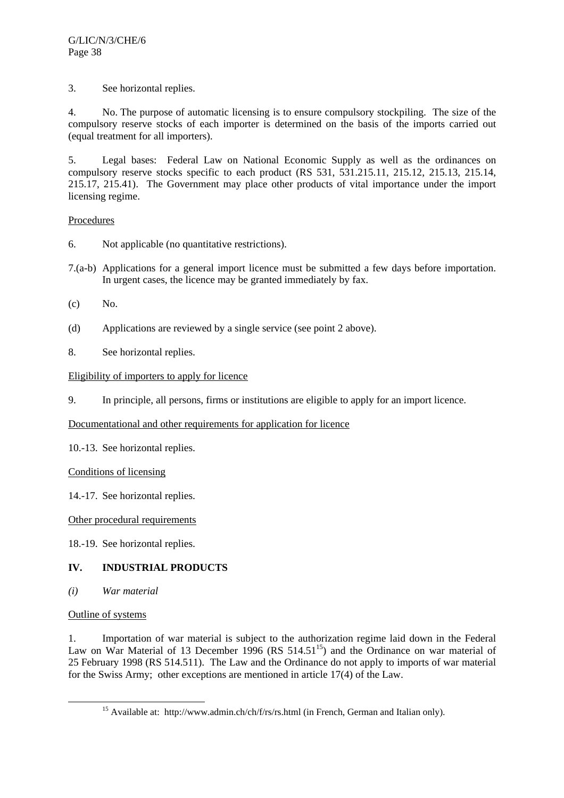3. See horizontal replies.

4. No. The purpose of automatic licensing is to ensure compulsory stockpiling. The size of the compulsory reserve stocks of each importer is determined on the basis of the imports carried out (equal treatment for all importers).

5. Legal bases: Federal Law on National Economic Supply as well as the ordinances on compulsory reserve stocks specific to each product (RS 531, 531.215.11, 215.12, 215.13, 215.14, 215.17, 215.41). The Government may place other products of vital importance under the import licensing regime.

# Procedures

- 6. Not applicable (no quantitative restrictions).
- 7.(a-b) Applications for a general import licence must be submitted a few days before importation. In urgent cases, the licence may be granted immediately by fax.
- (c) No.
- (d) Applications are reviewed by a single service (see point 2 above).
- 8. See horizontal replies.

# Eligibility of importers to apply for licence

9. In principle, all persons, firms or institutions are eligible to apply for an import licence.

# Documentational and other requirements for application for licence

10.-13. See horizontal replies.

## Conditions of licensing

# 14.-17. See horizontal replies.

## Other procedural requirements

18.-19. See horizontal replies.

# **IV. INDUSTRIAL PRODUCTS**

*(i) War material* 

## Outline of systems

1. Importation of war material is subject to the authorization regime laid down in the Federal Law on War Material of 13 December 1996 (RS  $514.51^{15}$ ) and the Ordinance on war material of 25 February 1998 (RS 514.511). The Law and the Ordinance do not apply to imports of war material for the Swiss Army; other exceptions are mentioned in article 17(4) of the Law.

<sup>&</sup>lt;sup>15</sup> Available at: http://www.admin.ch/ch/f/rs/rs.html (in French, German and Italian only).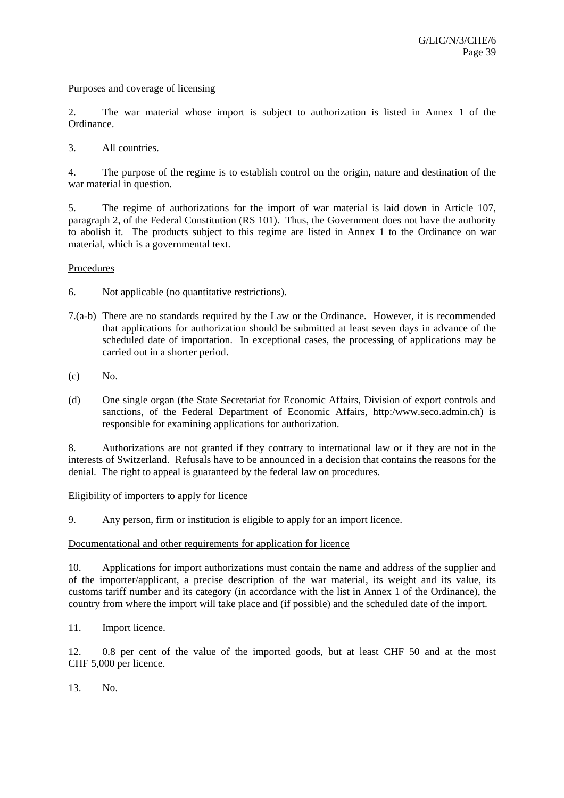#### Purposes and coverage of licensing

2. The war material whose import is subject to authorization is listed in Annex 1 of the Ordinance.

3. All countries.

4. The purpose of the regime is to establish control on the origin, nature and destination of the war material in question.

5. The regime of authorizations for the import of war material is laid down in Article 107, paragraph 2, of the Federal Constitution (RS 101). Thus, the Government does not have the authority to abolish it. The products subject to this regime are listed in Annex 1 to the Ordinance on war material, which is a governmental text.

#### Procedures

6. Not applicable (no quantitative restrictions).

- 7.(a-b) There are no standards required by the Law or the Ordinance. However, it is recommended that applications for authorization should be submitted at least seven days in advance of the scheduled date of importation. In exceptional cases, the processing of applications may be carried out in a shorter period.
- (c) No.
- (d) One single organ (the State Secretariat for Economic Affairs, Division of export controls and sanctions, of the Federal Department of Economic Affairs, http:/www.seco.admin.ch) is responsible for examining applications for authorization.

8. Authorizations are not granted if they contrary to international law or if they are not in the interests of Switzerland. Refusals have to be announced in a decision that contains the reasons for the denial. The right to appeal is guaranteed by the federal law on procedures.

## Eligibility of importers to apply for licence

9. Any person, firm or institution is eligible to apply for an import licence.

#### Documentational and other requirements for application for licence

10. Applications for import authorizations must contain the name and address of the supplier and of the importer/applicant, a precise description of the war material, its weight and its value, its customs tariff number and its category (in accordance with the list in Annex 1 of the Ordinance), the country from where the import will take place and (if possible) and the scheduled date of the import.

11. Import licence.

12. 0.8 per cent of the value of the imported goods, but at least CHF 50 and at the most CHF 5,000 per licence.

13. No.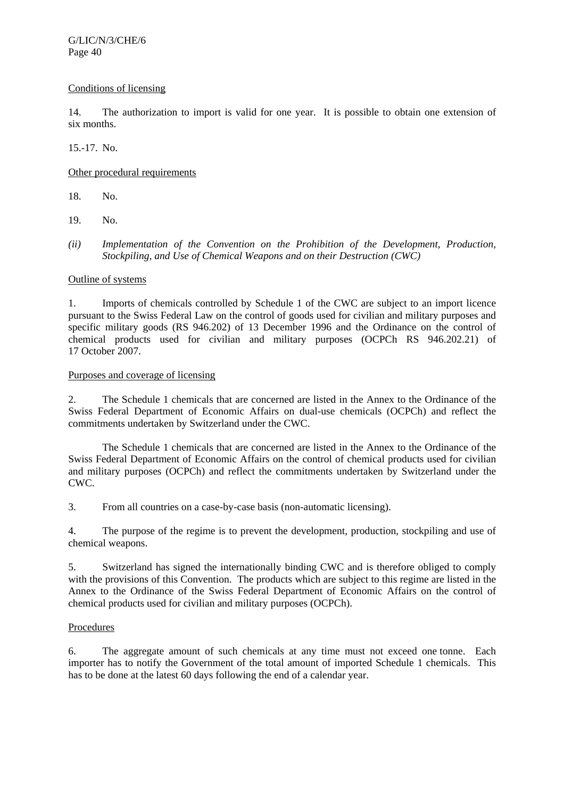## Conditions of licensing

14. The authorization to import is valid for one year. It is possible to obtain one extension of six months.

15.-17. No.

# Other procedural requirements

18. No.

- 19. No.
- *(ii) Implementation of the Convention on the Prohibition of the Development, Production, Stockpiling, and Use of Chemical Weapons and on their Destruction (CWC)*

# Outline of systems

1. Imports of chemicals controlled by Schedule 1 of the CWC are subject to an import licence pursuant to the Swiss Federal Law on the control of goods used for civilian and military purposes and specific military goods (RS 946.202) of 13 December 1996 and the Ordinance on the control of chemical products used for civilian and military purposes (OCPCh RS 946.202.21) of 17 October 2007.

## Purposes and coverage of licensing

2. The Schedule 1 chemicals that are concerned are listed in the Annex to the Ordinance of the Swiss Federal Department of Economic Affairs on dual-use chemicals (OCPCh) and reflect the commitments undertaken by Switzerland under the CWC.

 The Schedule 1 chemicals that are concerned are listed in the Annex to the Ordinance of the Swiss Federal Department of Economic Affairs on the control of chemical products used for civilian and military purposes (OCPCh) and reflect the commitments undertaken by Switzerland under the CWC.

3. From all countries on a case-by-case basis (non-automatic licensing).

4. The purpose of the regime is to prevent the development, production, stockpiling and use of chemical weapons.

5. Switzerland has signed the internationally binding CWC and is therefore obliged to comply with the provisions of this Convention. The products which are subject to this regime are listed in the Annex to the Ordinance of the Swiss Federal Department of Economic Affairs on the control of chemical products used for civilian and military purposes (OCPCh).

# Procedures

6. The aggregate amount of such chemicals at any time must not exceed one tonne. Each importer has to notify the Government of the total amount of imported Schedule 1 chemicals. This has to be done at the latest 60 days following the end of a calendar year.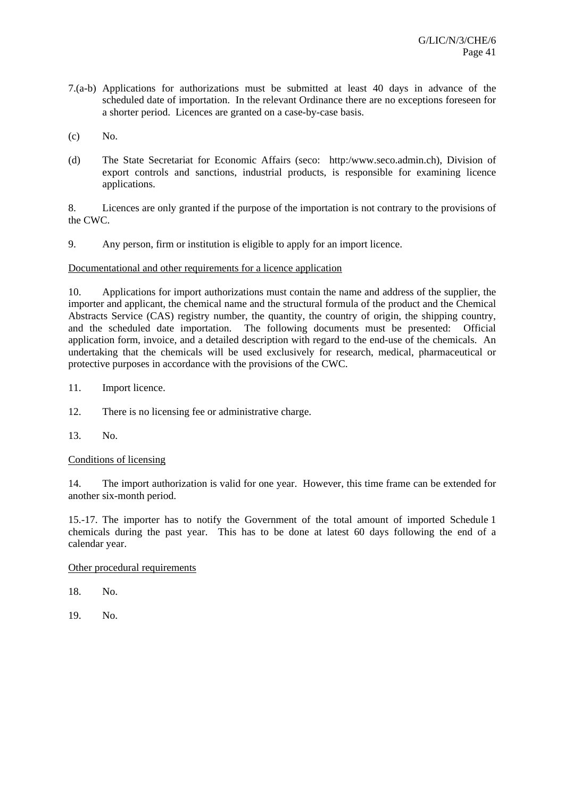- 7.(a-b) Applications for authorizations must be submitted at least 40 days in advance of the scheduled date of importation. In the relevant Ordinance there are no exceptions foreseen for a shorter period. Licences are granted on a case-by-case basis.
- (c) No.
- (d) The State Secretariat for Economic Affairs (seco: http:/www.seco.admin.ch), Division of export controls and sanctions, industrial products, is responsible for examining licence applications.

8. Licences are only granted if the purpose of the importation is not contrary to the provisions of the CWC.

9. Any person, firm or institution is eligible to apply for an import licence.

## Documentational and other requirements for a licence application

10. Applications for import authorizations must contain the name and address of the supplier, the importer and applicant, the chemical name and the structural formula of the product and the Chemical Abstracts Service (CAS) registry number, the quantity, the country of origin, the shipping country, and the scheduled date importation. The following documents must be presented: Official application form, invoice, and a detailed description with regard to the end-use of the chemicals. An undertaking that the chemicals will be used exclusively for research, medical, pharmaceutical or protective purposes in accordance with the provisions of the CWC.

- 11. Import licence.
- 12. There is no licensing fee or administrative charge.
- 13. No.

## Conditions of licensing

14. The import authorization is valid for one year. However, this time frame can be extended for another six-month period.

15.-17. The importer has to notify the Government of the total amount of imported Schedule 1 chemicals during the past year. This has to be done at latest 60 days following the end of a calendar year.

Other procedural requirements

18. No.

19. No.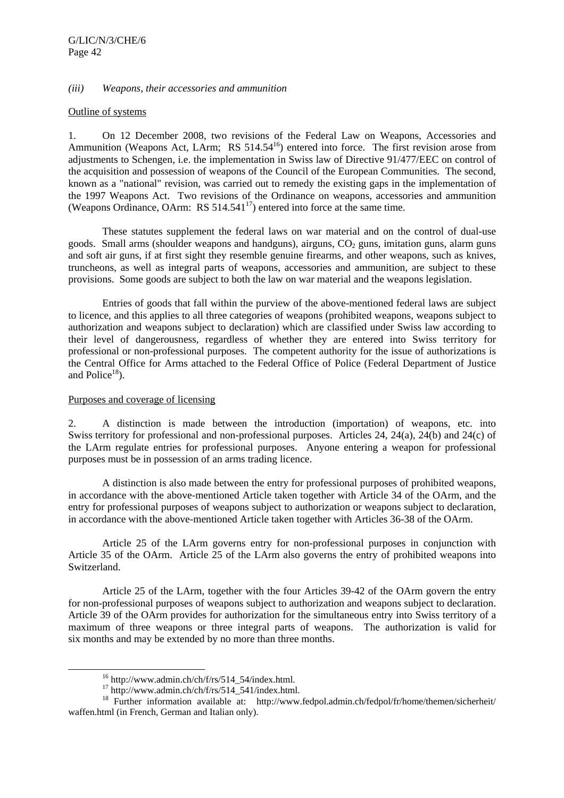## *(iii) Weapons, their accessories and ammunition*

#### Outline of systems

1. On 12 December 2008, two revisions of the Federal Law on Weapons, Accessories and Ammunition (Weapons Act, LArm; RS  $514.54^{16}$ ) entered into force. The first revision arose from adjustments to Schengen, i.e. the implementation in Swiss law of Directive 91/477/EEC on control of the acquisition and possession of weapons of the Council of the European Communities. The second, known as a "national" revision, was carried out to remedy the existing gaps in the implementation of the 1997 Weapons Act. Two revisions of the Ordinance on weapons, accessories and ammunition (Weapons Ordinance, OArm:  $RS 514.541<sup>17</sup>$ ) entered into force at the same time.

 These statutes supplement the federal laws on war material and on the control of dual-use goods. Small arms (shoulder weapons and handguns), airguns,  $CO<sub>2</sub>$  guns, imitation guns, alarm guns and soft air guns, if at first sight they resemble genuine firearms, and other weapons, such as knives, truncheons, as well as integral parts of weapons, accessories and ammunition, are subject to these provisions. Some goods are subject to both the law on war material and the weapons legislation.

 Entries of goods that fall within the purview of the above-mentioned federal laws are subject to licence, and this applies to all three categories of weapons (prohibited weapons, weapons subject to authorization and weapons subject to declaration) which are classified under Swiss law according to their level of dangerousness, regardless of whether they are entered into Swiss territory for professional or non-professional purposes. The competent authority for the issue of authorizations is the Central Office for Arms attached to the Federal Office of Police (Federal Department of Justice and Police $18$ ).

## Purposes and coverage of licensing

2. A distinction is made between the introduction (importation) of weapons, etc. into Swiss territory for professional and non-professional purposes. Articles 24, 24(a), 24(b) and 24(c) of the LArm regulate entries for professional purposes. Anyone entering a weapon for professional purposes must be in possession of an arms trading licence.

 A distinction is also made between the entry for professional purposes of prohibited weapons, in accordance with the above-mentioned Article taken together with Article 34 of the OArm, and the entry for professional purposes of weapons subject to authorization or weapons subject to declaration, in accordance with the above-mentioned Article taken together with Articles 36-38 of the OArm.

 Article 25 of the LArm governs entry for non-professional purposes in conjunction with Article 35 of the OArm. Article 25 of the LArm also governs the entry of prohibited weapons into Switzerland.

 Article 25 of the LArm, together with the four Articles 39-42 of the OArm govern the entry for non-professional purposes of weapons subject to authorization and weapons subject to declaration. Article 39 of the OArm provides for authorization for the simultaneous entry into Swiss territory of a maximum of three weapons or three integral parts of weapons. The authorization is valid for six months and may be extended by no more than three months.

 $16$  http://www.admin.ch/ch/f/rs/514\_54/index.html.

 $17 \text{ http://www.admin.ch/ch/f/rs/514_541/index.html.}$ 

<sup>&</sup>lt;sup>18</sup> Further information available at: http://www.fedpol.admin.ch/fedpol/fr/home/themen/sicherheit/ waffen.html (in French, German and Italian only).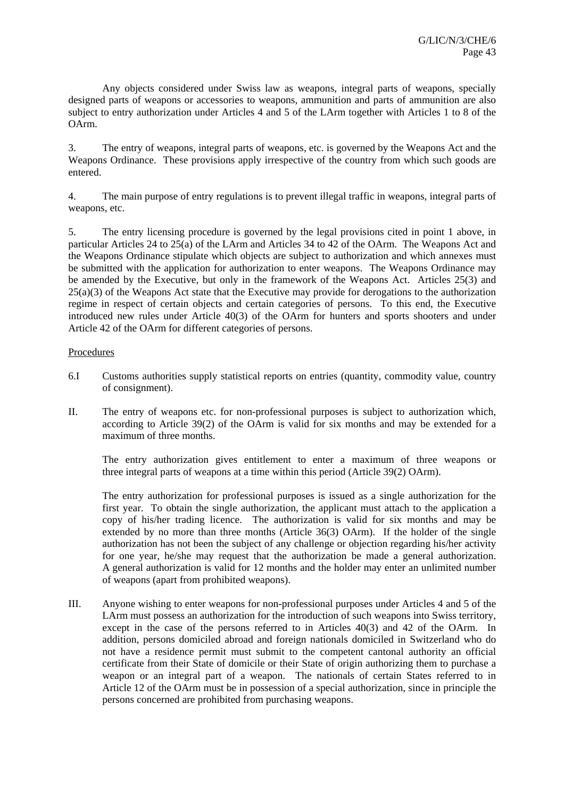Any objects considered under Swiss law as weapons, integral parts of weapons, specially designed parts of weapons or accessories to weapons, ammunition and parts of ammunition are also subject to entry authorization under Articles 4 and 5 of the LArm together with Articles 1 to 8 of the OArm.

3. The entry of weapons, integral parts of weapons, etc. is governed by the Weapons Act and the Weapons Ordinance. These provisions apply irrespective of the country from which such goods are entered.

4. The main purpose of entry regulations is to prevent illegal traffic in weapons, integral parts of weapons, etc.

5. The entry licensing procedure is governed by the legal provisions cited in point 1 above, in particular Articles 24 to 25(a) of the LArm and Articles 34 to 42 of the OArm. The Weapons Act and the Weapons Ordinance stipulate which objects are subject to authorization and which annexes must be submitted with the application for authorization to enter weapons. The Weapons Ordinance may be amended by the Executive, but only in the framework of the Weapons Act. Articles 25(3) and 25(a)(3) of the Weapons Act state that the Executive may provide for derogations to the authorization regime in respect of certain objects and certain categories of persons. To this end, the Executive introduced new rules under Article 40(3) of the OArm for hunters and sports shooters and under Article 42 of the OArm for different categories of persons.

# Procedures

- 6.I Customs authorities supply statistical reports on entries (quantity, commodity value, country of consignment).
- II. The entry of weapons etc. for non-professional purposes is subject to authorization which, according to Article 39(2) of the OArm is valid for six months and may be extended for a maximum of three months.

The entry authorization gives entitlement to enter a maximum of three weapons or three integral parts of weapons at a time within this period (Article 39(2) OArm).

The entry authorization for professional purposes is issued as a single authorization for the first year. To obtain the single authorization, the applicant must attach to the application a copy of his/her trading licence. The authorization is valid for six months and may be extended by no more than three months (Article 36(3) OArm). If the holder of the single authorization has not been the subject of any challenge or objection regarding his/her activity for one year, he/she may request that the authorization be made a general authorization. A general authorization is valid for 12 months and the holder may enter an unlimited number of weapons (apart from prohibited weapons).

III. Anyone wishing to enter weapons for non-professional purposes under Articles 4 and 5 of the LArm must possess an authorization for the introduction of such weapons into Swiss territory, except in the case of the persons referred to in Articles 40(3) and 42 of the OArm. In addition, persons domiciled abroad and foreign nationals domiciled in Switzerland who do not have a residence permit must submit to the competent cantonal authority an official certificate from their State of domicile or their State of origin authorizing them to purchase a weapon or an integral part of a weapon. The nationals of certain States referred to in Article 12 of the OArm must be in possession of a special authorization, since in principle the persons concerned are prohibited from purchasing weapons.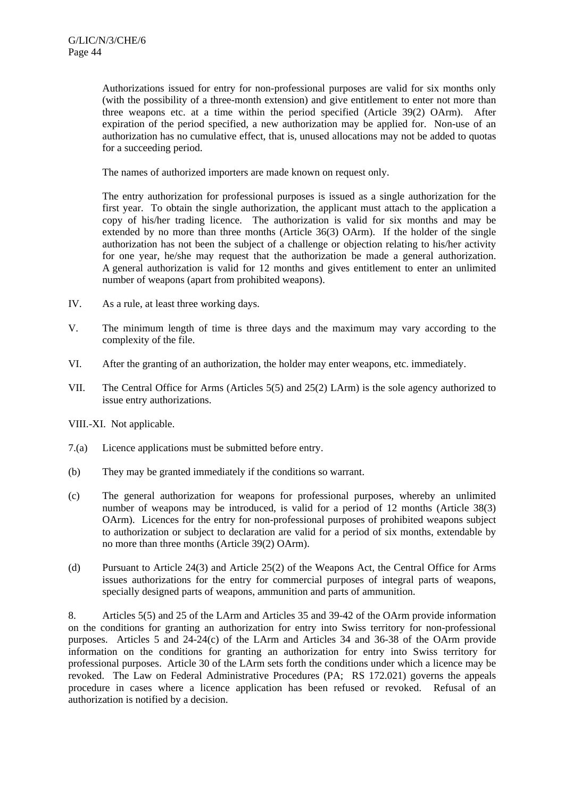Authorizations issued for entry for non-professional purposes are valid for six months only (with the possibility of a three-month extension) and give entitlement to enter not more than three weapons etc. at a time within the period specified (Article 39(2) OArm). After expiration of the period specified, a new authorization may be applied for. Non-use of an authorization has no cumulative effect, that is, unused allocations may not be added to quotas for a succeeding period.

The names of authorized importers are made known on request only.

The entry authorization for professional purposes is issued as a single authorization for the first year. To obtain the single authorization, the applicant must attach to the application a copy of his/her trading licence. The authorization is valid for six months and may be extended by no more than three months (Article 36(3) OArm). If the holder of the single authorization has not been the subject of a challenge or objection relating to his/her activity for one year, he/she may request that the authorization be made a general authorization. A general authorization is valid for 12 months and gives entitlement to enter an unlimited number of weapons (apart from prohibited weapons).

- IV. As a rule, at least three working days.
- V. The minimum length of time is three days and the maximum may vary according to the complexity of the file.
- VI. After the granting of an authorization, the holder may enter weapons, etc. immediately.
- VII. The Central Office for Arms (Articles 5(5) and 25(2) LArm) is the sole agency authorized to issue entry authorizations.

VIII.-XI. Not applicable.

- 7.(a) Licence applications must be submitted before entry.
- (b) They may be granted immediately if the conditions so warrant.
- (c) The general authorization for weapons for professional purposes, whereby an unlimited number of weapons may be introduced, is valid for a period of 12 months (Article 38(3) OArm). Licences for the entry for non-professional purposes of prohibited weapons subject to authorization or subject to declaration are valid for a period of six months, extendable by no more than three months (Article 39(2) OArm).
- (d) Pursuant to Article 24(3) and Article 25(2) of the Weapons Act, the Central Office for Arms issues authorizations for the entry for commercial purposes of integral parts of weapons, specially designed parts of weapons, ammunition and parts of ammunition.

8. Articles 5(5) and 25 of the LArm and Articles 35 and 39-42 of the OArm provide information on the conditions for granting an authorization for entry into Swiss territory for non-professional purposes. Articles 5 and 24-24(c) of the LArm and Articles 34 and 36-38 of the OArm provide information on the conditions for granting an authorization for entry into Swiss territory for professional purposes. Article 30 of the LArm sets forth the conditions under which a licence may be revoked. The Law on Federal Administrative Procedures (PA; RS 172.021) governs the appeals procedure in cases where a licence application has been refused or revoked. Refusal of an authorization is notified by a decision.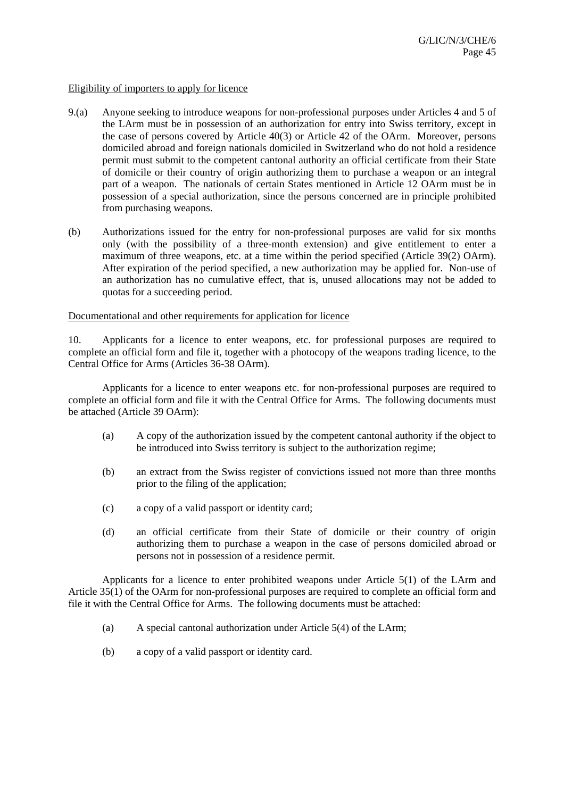#### Eligibility of importers to apply for licence

- 9.(a) Anyone seeking to introduce weapons for non-professional purposes under Articles 4 and 5 of the LArm must be in possession of an authorization for entry into Swiss territory, except in the case of persons covered by Article 40(3) or Article 42 of the OArm. Moreover, persons domiciled abroad and foreign nationals domiciled in Switzerland who do not hold a residence permit must submit to the competent cantonal authority an official certificate from their State of domicile or their country of origin authorizing them to purchase a weapon or an integral part of a weapon. The nationals of certain States mentioned in Article 12 OArm must be in possession of a special authorization, since the persons concerned are in principle prohibited from purchasing weapons.
- (b) Authorizations issued for the entry for non-professional purposes are valid for six months only (with the possibility of a three-month extension) and give entitlement to enter a maximum of three weapons, etc. at a time within the period specified (Article 39(2) OArm). After expiration of the period specified, a new authorization may be applied for. Non-use of an authorization has no cumulative effect, that is, unused allocations may not be added to quotas for a succeeding period.

#### Documentational and other requirements for application for licence

10. Applicants for a licence to enter weapons, etc. for professional purposes are required to complete an official form and file it, together with a photocopy of the weapons trading licence, to the Central Office for Arms (Articles 36-38 OArm).

 Applicants for a licence to enter weapons etc. for non-professional purposes are required to complete an official form and file it with the Central Office for Arms. The following documents must be attached (Article 39 OArm):

- (a) A copy of the authorization issued by the competent cantonal authority if the object to be introduced into Swiss territory is subject to the authorization regime;
- (b) an extract from the Swiss register of convictions issued not more than three months prior to the filing of the application;
- (c) a copy of a valid passport or identity card;
- (d) an official certificate from their State of domicile or their country of origin authorizing them to purchase a weapon in the case of persons domiciled abroad or persons not in possession of a residence permit.

 Applicants for a licence to enter prohibited weapons under Article 5(1) of the LArm and Article 35(1) of the OArm for non-professional purposes are required to complete an official form and file it with the Central Office for Arms. The following documents must be attached:

- (a) A special cantonal authorization under Article 5(4) of the LArm;
- (b) a copy of a valid passport or identity card.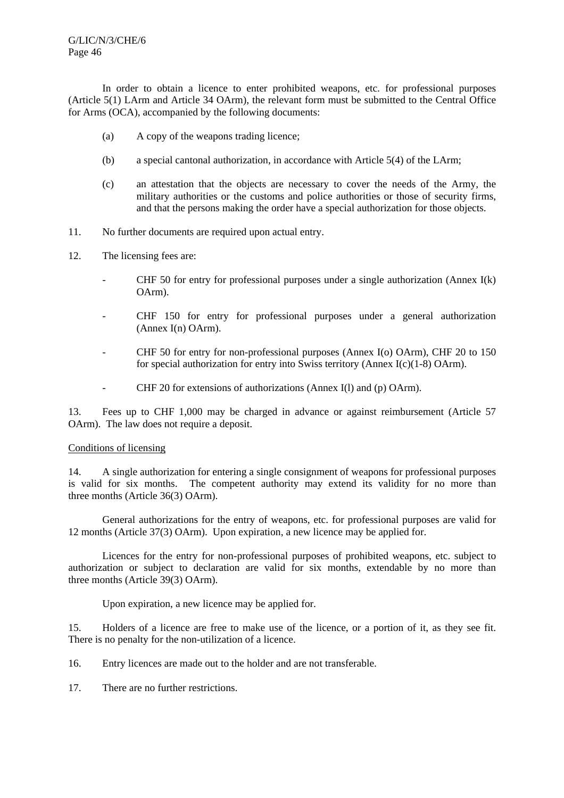In order to obtain a licence to enter prohibited weapons, etc. for professional purposes (Article 5(1) LArm and Article 34 OArm), the relevant form must be submitted to the Central Office for Arms (OCA), accompanied by the following documents:

- (a) A copy of the weapons trading licence;
- (b) a special cantonal authorization, in accordance with Article 5(4) of the LArm;
- (c) an attestation that the objects are necessary to cover the needs of the Army, the military authorities or the customs and police authorities or those of security firms, and that the persons making the order have a special authorization for those objects.
- 11. No further documents are required upon actual entry.
- 12. The licensing fees are:
	- CHF 50 for entry for professional purposes under a single authorization (Annex I(k) OArm).
	- CHF 150 for entry for professional purposes under a general authorization (Annex I(n) OArm).
	- CHF 50 for entry for non-professional purposes (Annex I(o) OArm), CHF 20 to 150 for special authorization for entry into Swiss territory (Annex I(c)(1-8) OArm).
	- CHF 20 for extensions of authorizations (Annex I(l) and (p) OArm).

13. Fees up to CHF 1,000 may be charged in advance or against reimbursement (Article 57 OArm). The law does not require a deposit.

## Conditions of licensing

14. A single authorization for entering a single consignment of weapons for professional purposes is valid for six months. The competent authority may extend its validity for no more than three months (Article 36(3) OArm).

 General authorizations for the entry of weapons, etc. for professional purposes are valid for 12 months (Article 37(3) OArm). Upon expiration, a new licence may be applied for.

 Licences for the entry for non-professional purposes of prohibited weapons, etc. subject to authorization or subject to declaration are valid for six months, extendable by no more than three months (Article 39(3) OArm).

Upon expiration, a new licence may be applied for.

15. Holders of a licence are free to make use of the licence, or a portion of it, as they see fit. There is no penalty for the non-utilization of a licence.

16. Entry licences are made out to the holder and are not transferable.

17. There are no further restrictions.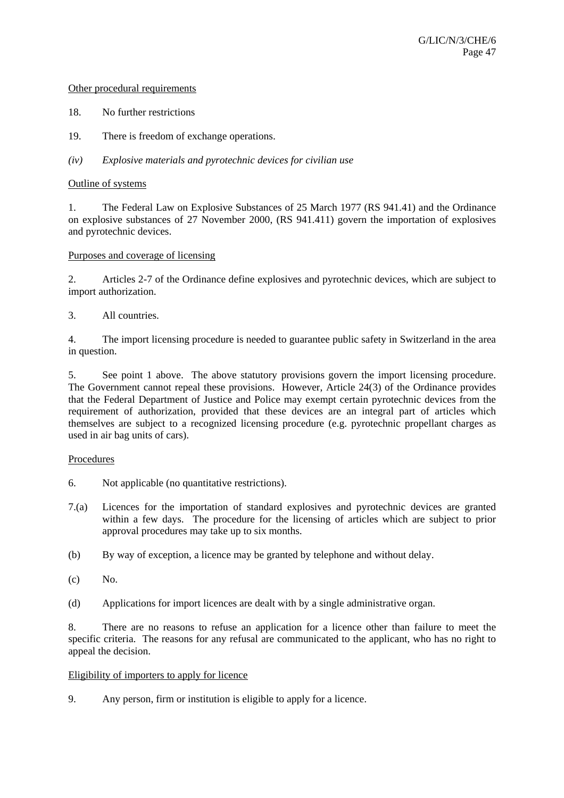## Other procedural requirements

- 18. No further restrictions
- 19. There is freedom of exchange operations.
- *(iv) Explosive materials and pyrotechnic devices for civilian use*

## Outline of systems

1. The Federal Law on Explosive Substances of 25 March 1977 (RS 941.41) and the Ordinance on explosive substances of 27 November 2000, (RS 941.411) govern the importation of explosives and pyrotechnic devices.

## Purposes and coverage of licensing

2. Articles 2-7 of the Ordinance define explosives and pyrotechnic devices, which are subject to import authorization.

# 3. All countries.

4. The import licensing procedure is needed to guarantee public safety in Switzerland in the area in question.

5. See point 1 above. The above statutory provisions govern the import licensing procedure. The Government cannot repeal these provisions. However, Article 24(3) of the Ordinance provides that the Federal Department of Justice and Police may exempt certain pyrotechnic devices from the requirement of authorization, provided that these devices are an integral part of articles which themselves are subject to a recognized licensing procedure (e.g. pyrotechnic propellant charges as used in air bag units of cars).

## Procedures

- 6. Not applicable (no quantitative restrictions).
- 7.(a) Licences for the importation of standard explosives and pyrotechnic devices are granted within a few days. The procedure for the licensing of articles which are subject to prior approval procedures may take up to six months.
- (b) By way of exception, a licence may be granted by telephone and without delay.
- $(c)$  No.
- (d) Applications for import licences are dealt with by a single administrative organ.

8. There are no reasons to refuse an application for a licence other than failure to meet the specific criteria. The reasons for any refusal are communicated to the applicant, who has no right to appeal the decision.

## Eligibility of importers to apply for licence

9. Any person, firm or institution is eligible to apply for a licence.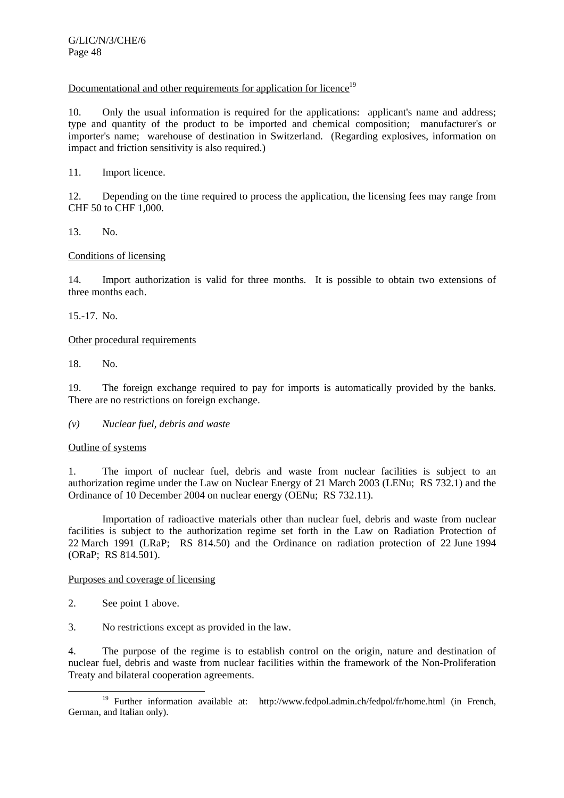# Documentational and other requirements for application for licence<sup>19</sup>

10. Only the usual information is required for the applications: applicant's name and address; type and quantity of the product to be imported and chemical composition; manufacturer's or importer's name; warehouse of destination in Switzerland. (Regarding explosives, information on impact and friction sensitivity is also required.)

11. Import licence.

12. Depending on the time required to process the application, the licensing fees may range from CHF 50 to CHF 1,000.

13. No.

# Conditions of licensing

14. Import authorization is valid for three months. It is possible to obtain two extensions of three months each.

15.-17. No.

Other procedural requirements

18. No.

19. The foreign exchange required to pay for imports is automatically provided by the banks. There are no restrictions on foreign exchange.

## *(v) Nuclear fuel, debris and waste*

## Outline of systems

1. The import of nuclear fuel, debris and waste from nuclear facilities is subject to an authorization regime under the Law on Nuclear Energy of 21 March 2003 (LENu; RS 732.1) and the Ordinance of 10 December 2004 on nuclear energy (OENu; RS 732.11).

 Importation of radioactive materials other than nuclear fuel, debris and waste from nuclear facilities is subject to the authorization regime set forth in the Law on Radiation Protection of 22 March 1991 (LRaP; RS 814.50) and the Ordinance on radiation protection of 22 June 1994 (ORaP; RS 814.501).

## Purposes and coverage of licensing

- 2. See point 1 above.
- 3. No restrictions except as provided in the law.

4. The purpose of the regime is to establish control on the origin, nature and destination of nuclear fuel, debris and waste from nuclear facilities within the framework of the Non-Proliferation Treaty and bilateral cooperation agreements.

<sup>&</sup>lt;sup>19</sup> Further information available at: http://www.fedpol.admin.ch/fedpol/fr/home.html (in French, German, and Italian only).